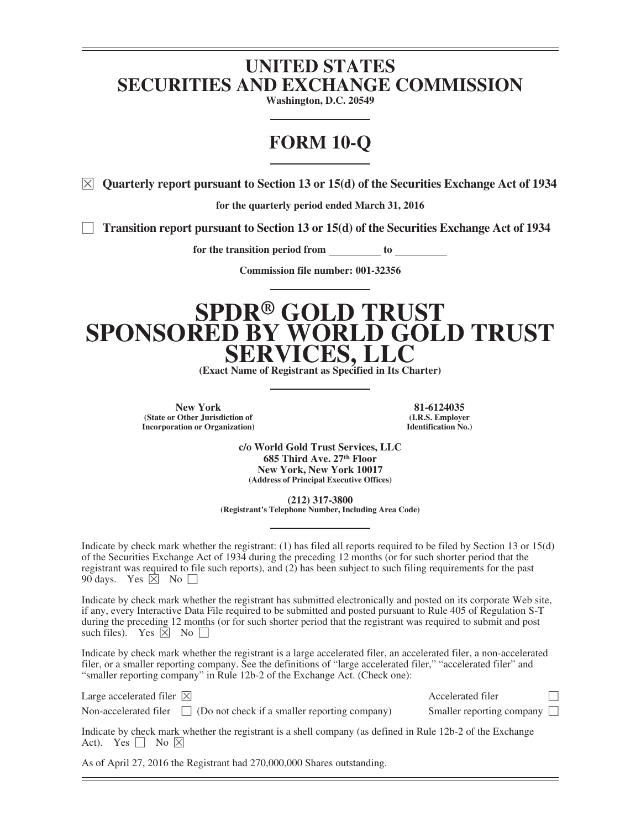# **UNITED STATES SECURITIES AND EXCHANGE COMMISSION**

**Washington, D.C. 20549**

# **FORM 10-Q**

 $\boxtimes$  Quarterly report pursuant to Section 13 or 15(d) of the Securities Exchange Act of 1934

**for the quarterly period ended March 31, 2016**

' **Transition report pursuant to Section 13 or 15(d) of the Securities Exchange Act of 1934**

**for the transition period from to**

**Commission file number: 001-32356**

# **SPDR® GOLD TRUST**<br>**SPONSORED BY WORLD GOL WORLD GOLD TRUST**

**(Exact Name of Registrant as Specified in Its Charter)** 

**New York 81-6124035 (State or Other Jurisdiction of Incorporation or Organization)**

**(I.R.S. Employer Identification No.)**

**c/o World Gold Trust Services, LLC 685 Third Ave. 27th Floor New York, New York 10017 (Address of Principal Executive Offices)**

**(212) 317-3800 (Registrant's Telephone Number, Including Area Code)**

Indicate by check mark whether the registrant: (1) has filed all reports required to be filed by Section 13 or 15(d) of the Securities Exchange Act of 1934 during the preceding 12 months (or for such shorter period that the registrant was required to file such reports), and (2) has been subject to such filing requirements for the past 90 days. Yes  $\boxtimes$  No  $\Box$ 

Indicate by check mark whether the registrant has submitted electronically and posted on its corporate Web site, if any, every Interactive Data File required to be submitted and posted pursuant to Rule 405 of Regulation S-T during the preceding 12 months (or for such shorter period that the registrant was required to submit and post such files). Yes  $\overline{X}$  No  $\Box$ 

Indicate by check mark whether the registrant is a large accelerated filer, an accelerated filer, a non-accelerated filer, or a smaller reporting company. See the definitions of "large accelerated filer," "accelerated filer" and "smaller reporting company" in Rule 12b-2 of the Exchange Act. (Check one):

Large accelerated filer  $\boxtimes$ 

Non-accelerated filer  $\Box$  (Do not check if a smaller reporting company) Smaller reporting company  $\Box$ 

Indicate by check mark whether the registrant is a shell company (as defined in Rule 12b-2 of the Exchange Act). Yes  $\Box$  No  $\boxtimes$ 

As of April 27, 2016 the Registrant had 270,000,000 Shares outstanding.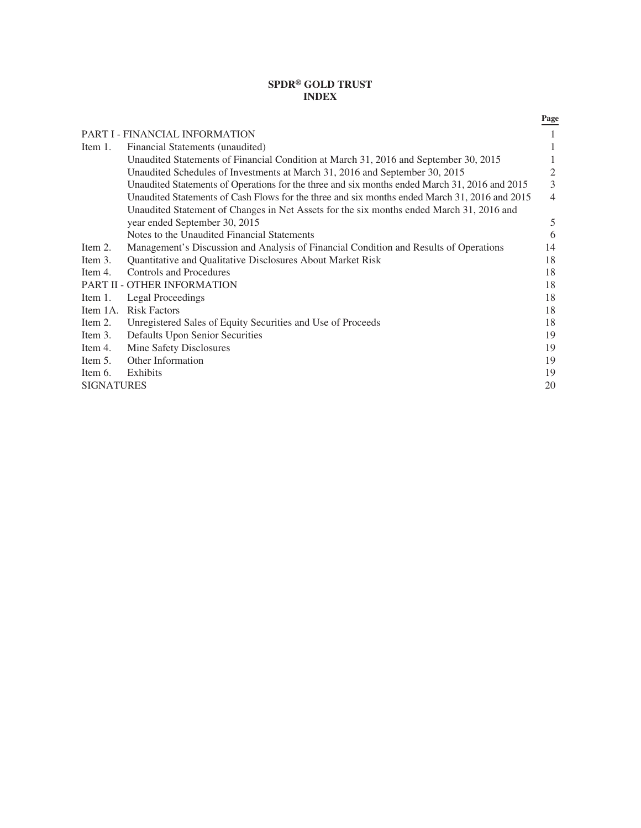# **SPDR® GOLD TRUST INDEX**

|                   |                                                                                               | Page |
|-------------------|-----------------------------------------------------------------------------------------------|------|
|                   | <b>PART I - FINANCIAL INFORMATION</b>                                                         |      |
| Item 1.           | Financial Statements (unaudited)                                                              |      |
|                   | Unaudited Statements of Financial Condition at March 31, 2016 and September 30, 2015          |      |
|                   | Unaudited Schedules of Investments at March 31, 2016 and September 30, 2015                   |      |
|                   | Unaudited Statements of Operations for the three and six months ended March 31, 2016 and 2015 | 3    |
|                   | Unaudited Statements of Cash Flows for the three and six months ended March 31, 2016 and 2015 | 4    |
|                   | Unaudited Statement of Changes in Net Assets for the six months ended March 31, 2016 and      |      |
|                   | year ended September 30, 2015                                                                 | 5    |
|                   | Notes to the Unaudited Financial Statements                                                   | 6    |
| Item 2.           | Management's Discussion and Analysis of Financial Condition and Results of Operations         | 14   |
| Item 3.           | Quantitative and Qualitative Disclosures About Market Risk                                    | 18   |
| Item 4.           | Controls and Procedures                                                                       | 18   |
|                   | <b>PART II - OTHER INFORMATION</b>                                                            | 18   |
| Item 1.           | Legal Proceedings                                                                             | 18   |
|                   | Item 1A. Risk Factors                                                                         | 18   |
| Item 2.           | Unregistered Sales of Equity Securities and Use of Proceeds                                   | 18   |
| Item 3.           | Defaults Upon Senior Securities                                                               | 19   |
| Item 4.           | Mine Safety Disclosures                                                                       | 19   |
| Item 5.           | Other Information                                                                             | 19   |
| Item 6.           | Exhibits                                                                                      | 19   |
| <b>SIGNATURES</b> |                                                                                               | 20   |
|                   |                                                                                               |      |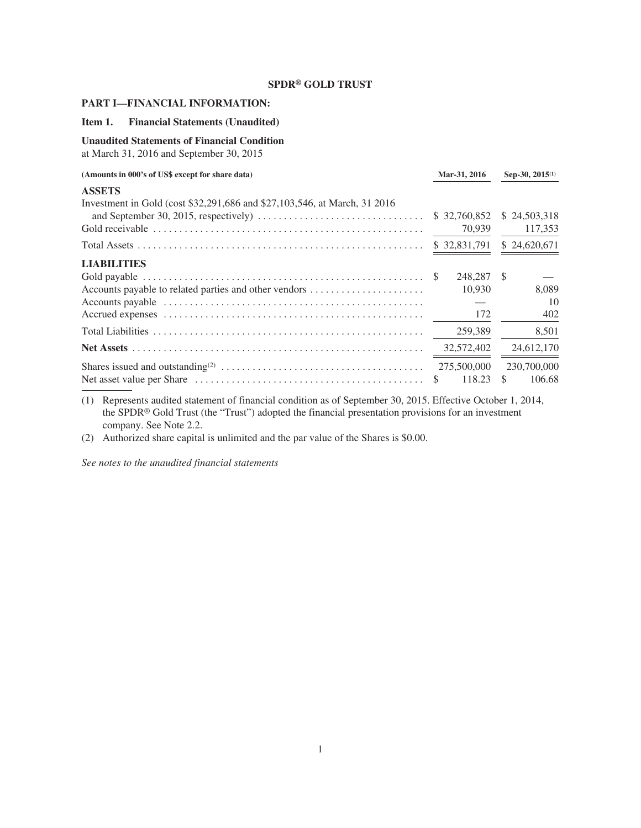# **PART I—FINANCIAL INFORMATION:**

#### **Item 1. Financial Statements (Unaudited)**

#### **Unaudited Statements of Financial Condition**

at March 31, 2016 and September 30, 2015

| (Amounts in 000's of US\$ except for share data)                           | Mar-31, 2016           | Sep-30, 2015 <sup>(1)</sup>            |
|----------------------------------------------------------------------------|------------------------|----------------------------------------|
| <b>ASSETS</b>                                                              |                        |                                        |
| Investment in Gold (cost \$32,291,686 and \$27,103,546, at March, 31 2016) | \$32,760,852<br>70,939 | \$24,503,318<br>117,353                |
|                                                                            | \$32,831,791           | \$24,620,671                           |
| <b>LIABILITIES</b>                                                         |                        |                                        |
|                                                                            | 248,287 \$             |                                        |
| Accounts payable to related parties and other vendors                      | 10.930                 | 8.089                                  |
|                                                                            |                        | 10                                     |
|                                                                            | 172                    | 402                                    |
|                                                                            | 259,389                | 8,501                                  |
|                                                                            | 32,572,402             | 24,612,170                             |
|                                                                            | 275,500,000<br>118.23  | 230,700,000<br><sup>\$</sup><br>106.68 |

(1) Represents audited statement of financial condition as of September 30, 2015. Effective October 1, 2014, the SPDR® Gold Trust (the "Trust") adopted the financial presentation provisions for an investment company. See Note 2.2.

(2) Authorized share capital is unlimited and the par value of the Shares is \$0.00.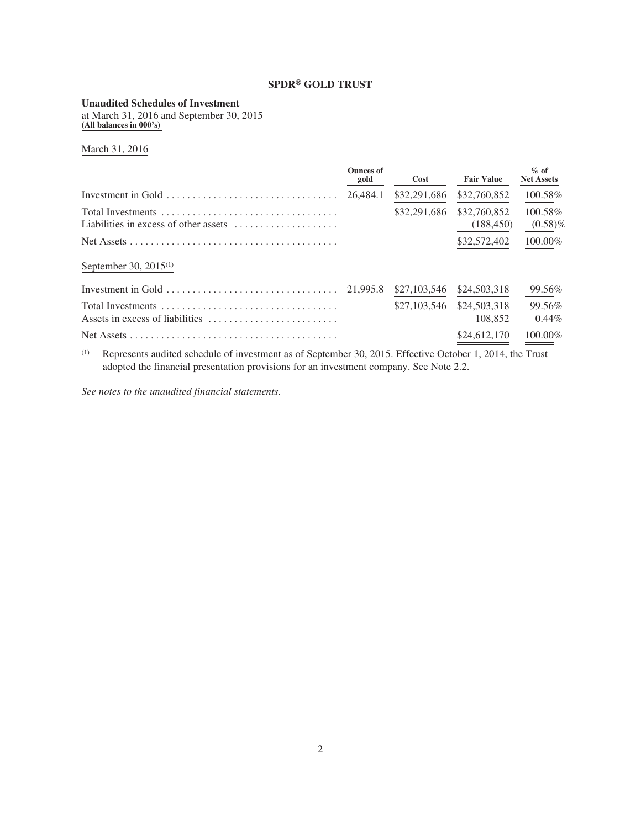# **Unaudited Schedules of Investment**

at March 31, 2016 and September 30, 2015 **(All balances in 000's)**

March 31, 2016

|                                                                                            | <b>Ounces of</b><br>gold | Cost         | <b>Fair Value</b>                          | $\%$ of<br><b>Net Assets</b>     |
|--------------------------------------------------------------------------------------------|--------------------------|--------------|--------------------------------------------|----------------------------------|
|                                                                                            | 26,484.1                 | \$32,291,686 | \$32,760,852                               | 100.58%                          |
| Total Investments<br>Liabilities in excess of other assets $\dots \dots \dots \dots \dots$ |                          | \$32,291,686 | \$32,760,852<br>(188, 450)<br>\$32,572,402 | 100.58%<br>$(0.58)\%$<br>100.00% |
| September 30, $2015^{(1)}$                                                                 |                          |              |                                            |                                  |
|                                                                                            |                          | \$27,103,546 | \$24,503,318                               | 99.56%                           |
| Assets in excess of liabilities                                                            |                          | \$27,103,546 | \$24,503,318<br>108.852                    | 99.56%<br>$0.44\%$               |
|                                                                                            |                          |              | \$24,612,170                               | 100.00%                          |

(1) Represents audited schedule of investment as of September 30, 2015. Effective October 1, 2014, the Trust adopted the financial presentation provisions for an investment company. See Note 2.2.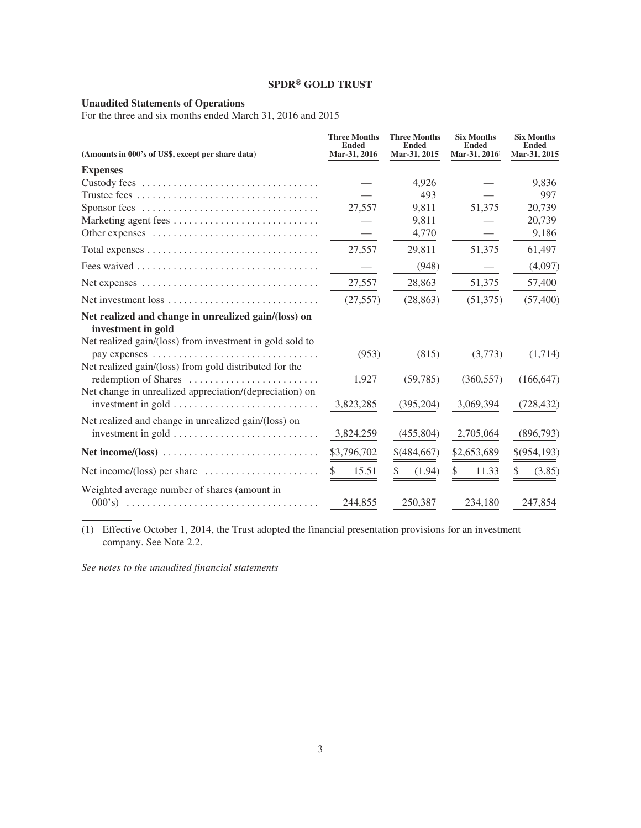# **Unaudited Statements of Operations**

For the three and six months ended March 31, 2016 and 2015

| (Amounts in 000's of US\$, except per share data)                                                                                               | <b>Three Months</b><br><b>Ended</b><br>Mar-31, 2016 | <b>Three Months</b><br><b>Ended</b><br>Mar-31, 2015 | <b>Six Months</b><br><b>Ended</b><br>Mar-31, 2016 | <b>Six Months</b><br><b>Ended</b><br>Mar-31, 2015 |
|-------------------------------------------------------------------------------------------------------------------------------------------------|-----------------------------------------------------|-----------------------------------------------------|---------------------------------------------------|---------------------------------------------------|
| <b>Expenses</b>                                                                                                                                 |                                                     |                                                     |                                                   |                                                   |
|                                                                                                                                                 |                                                     | 4.926                                               |                                                   | 9.836                                             |
|                                                                                                                                                 |                                                     | 493                                                 |                                                   | 997                                               |
|                                                                                                                                                 | 27,557                                              | 9,811                                               | 51,375                                            | 20,739                                            |
|                                                                                                                                                 |                                                     | 9,811                                               |                                                   | 20,739                                            |
|                                                                                                                                                 |                                                     | 4,770                                               |                                                   | 9,186                                             |
|                                                                                                                                                 | 27,557                                              | 29,811                                              | 51,375                                            | 61,497                                            |
|                                                                                                                                                 |                                                     | (948)                                               |                                                   | (4,097)                                           |
|                                                                                                                                                 | 27,557                                              | 28,863                                              | 51,375                                            | 57,400                                            |
| Net investment loss                                                                                                                             | (27, 557)                                           | (28, 863)                                           | (51, 375)                                         | (57, 400)                                         |
| Net realized and change in unrealized gain/(loss) on<br>investment in gold<br>Net realized gain/(loss) from investment in gold sold to          |                                                     |                                                     |                                                   |                                                   |
| pay expenses $\dots\dots\dots\dots\dots\dots\dots\dots\dots\dots\dots\dots\dots\dots$<br>Net realized gain/(loss) from gold distributed for the | (953)                                               | (815)                                               | (3,773)                                           | (1,714)                                           |
| redemption of Shares<br>Net change in unrealized appreciation/(depreciation) on                                                                 | 1,927                                               | (59, 785)                                           | (360, 557)                                        | (166, 647)                                        |
| investment in gold $\dots \dots \dots \dots \dots \dots \dots \dots \dots$                                                                      | 3,823,285                                           | (395,204)                                           | 3,069,394                                         | (728, 432)                                        |
| Net realized and change in unrealized gain/(loss) on<br>investment in gold $\dots \dots \dots \dots \dots \dots \dots \dots \dots$              | 3,824,259                                           | (455, 804)                                          | 2,705,064                                         | (896, 793)                                        |
| Net income/(loss)                                                                                                                               | \$3,796,702                                         | \$(484,667)                                         | \$2,653,689                                       | \$(954,193)                                       |
| Net income/(loss) per share $\dots \dots \dots \dots \dots \dots$                                                                               | $\frac{1}{2}$<br>15.51                              | \$<br>(1.94)                                        | \$<br>11.33                                       | \$<br>(3.85)                                      |
| Weighted average number of shares (amount in                                                                                                    | 244,855                                             | 250,387                                             | 234,180                                           | 247,854                                           |

(1) Effective October 1, 2014, the Trust adopted the financial presentation provisions for an investment company. See Note 2.2.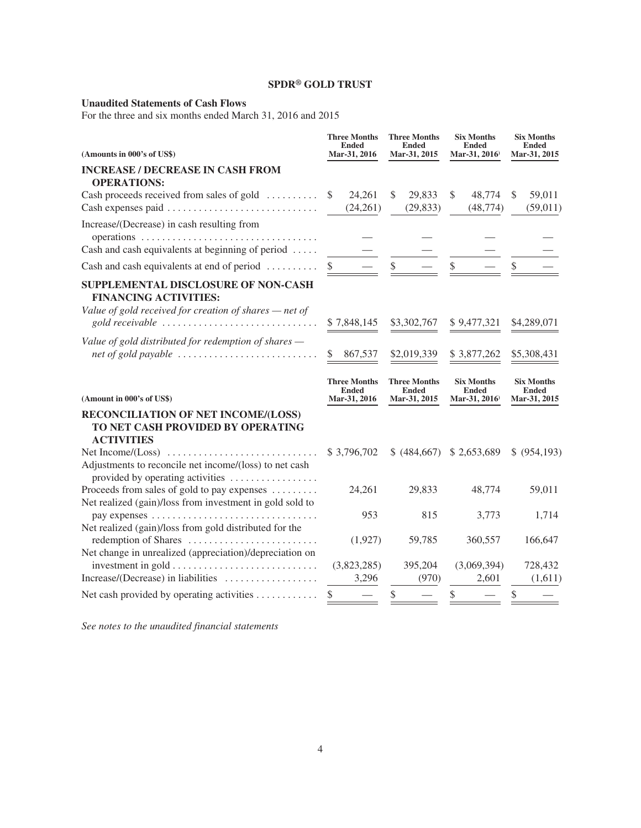# **Unaudited Statements of Cash Flows**

For the three and six months ended March 31, 2016 and 2015

| (Amounts in 000's of US\$)                                                                              | <b>Three Months</b><br><b>Ended</b><br>Mar-31, 2016 | <b>Three Months</b><br><b>Ended</b><br>Mar-31, 2015 | <b>Six Months</b><br><b>Ended</b><br>Mar-31, 2016 | <b>Six Months</b><br><b>Ended</b><br>Mar-31, 2015 |
|---------------------------------------------------------------------------------------------------------|-----------------------------------------------------|-----------------------------------------------------|---------------------------------------------------|---------------------------------------------------|
| <b>INCREASE / DECREASE IN CASH FROM</b><br><b>OPERATIONS:</b>                                           |                                                     |                                                     |                                                   |                                                   |
| Cash proceeds received from sales of gold                                                               | 24,261<br>$\mathcal{S}$                             | \$<br>29,833                                        | \$<br>48,774                                      | $\mathcal{S}$<br>59,011                           |
| Cash expenses paid                                                                                      | (24,261)                                            | (29, 833)                                           | (48, 774)                                         | (59, 011)                                         |
| Increase/(Decrease) in cash resulting from                                                              |                                                     |                                                     |                                                   |                                                   |
| Cash and cash equivalents at beginning of period                                                        |                                                     |                                                     |                                                   |                                                   |
| Cash and cash equivalents at end of period                                                              | \$                                                  | \$                                                  | \$                                                |                                                   |
| SUPPLEMENTAL DISCLOSURE OF NON-CASH<br><b>FINANCING ACTIVITIES:</b>                                     |                                                     |                                                     |                                                   |                                                   |
| Value of gold received for creation of shares $-$ net of<br>gold receivable                             | \$7,848,145                                         | \$3,302,767                                         | \$9,477,321                                       | \$4,289,071                                       |
| Value of gold distributed for redemption of shares -                                                    | \$<br>867,537                                       | \$2,019,339                                         | \$3,877,262                                       | \$5,308,431                                       |
| (Amount in 000's of US\$)                                                                               | <b>Three Months</b><br><b>Ended</b><br>Mar-31, 2016 | <b>Three Months</b><br><b>Ended</b><br>Mar-31, 2015 | <b>Six Months</b><br><b>Ended</b><br>Mar-31, 2016 | <b>Six Months</b><br><b>Ended</b><br>Mar-31, 2015 |
| RECONCILIATION OF NET INCOME/(LOSS)<br>TO NET CASH PROVIDED BY OPERATING<br><b>ACTIVITIES</b>           |                                                     |                                                     |                                                   |                                                   |
| Adjustments to reconcile net income/(loss) to net cash<br>provided by operating activities              | \$3,796,702                                         |                                                     | $(484,667)$ \$ 2,653,689                          | \$ (954,193)                                      |
| Proceeds from sales of gold to pay expenses<br>Net realized (gain)/loss from investment in gold sold to | 24,261                                              | 29,833                                              | 48,774                                            | 59,011                                            |
| Net realized (gain)/loss from gold distributed for the                                                  | 953                                                 | 815                                                 | 3,773                                             | 1,714                                             |
| redemption of Shares<br>Net change in unrealized (appreciation)/depreciation on                         | (1,927)                                             | 59,785                                              | 360,557                                           | 166,647                                           |
|                                                                                                         | (3,823,285)                                         | 395,204                                             | (3,069,394)                                       | 728,432                                           |
| Increase/(Decrease) in liabilities                                                                      | 3,296                                               | (970)                                               | 2,601                                             | (1,611)                                           |
| Net cash provided by operating activities                                                               |                                                     |                                                     |                                                   | \$                                                |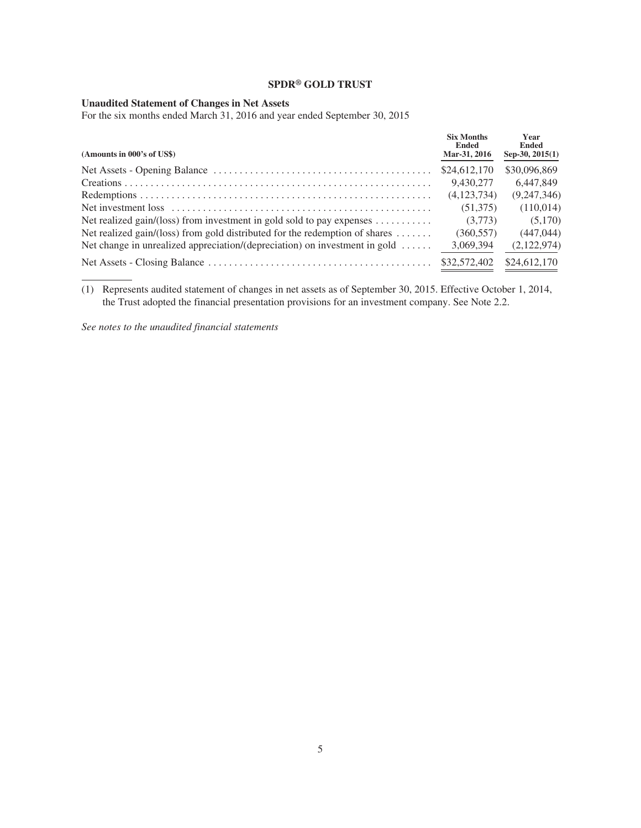# **Unaudited Statement of Changes in Net Assets**

For the six months ended March 31, 2016 and year ended September 30, 2015

| (Amounts in 000's of US\$)                                                               | <b>Six Months</b><br><b>Ended</b><br>Mar-31, 2016 | Year<br><b>Ended</b><br>Sep-30, $2015(1)$ |
|------------------------------------------------------------------------------------------|---------------------------------------------------|-------------------------------------------|
|                                                                                          | \$24,612,170                                      | \$30,096,869                              |
|                                                                                          | 9.430.277                                         | 6.447.849                                 |
|                                                                                          | (4.123.734)                                       | (9,247,346)                               |
|                                                                                          | (51,375)                                          | (110,014)                                 |
| Net realized gain/(loss) from investment in gold sold to pay expenses $\dots\dots\dots$  | (3.773)                                           | (5,170)                                   |
| Net realized gain/(loss) from gold distributed for the redemption of shares $\dots\dots$ | (360, 557)                                        | (447, 044)                                |
| Net change in unrealized appreciation/(depreciation) on investment in gold $\dots$ .     | 3,069,394                                         | (2,122,974)                               |
|                                                                                          | \$32,572,402                                      | \$24,612,170                              |

(1) Represents audited statement of changes in net assets as of September 30, 2015. Effective October 1, 2014, the Trust adopted the financial presentation provisions for an investment company. See Note 2.2.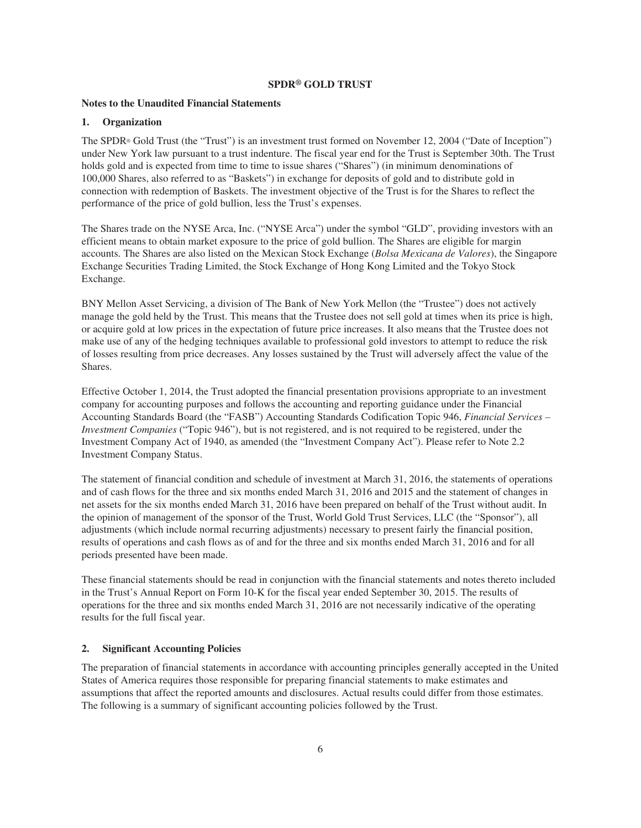#### **Notes to the Unaudited Financial Statements**

#### **1. Organization**

The SPDR® Gold Trust (the "Trust") is an investment trust formed on November 12, 2004 ("Date of Inception") under New York law pursuant to a trust indenture. The fiscal year end for the Trust is September 30th. The Trust holds gold and is expected from time to time to issue shares ("Shares") (in minimum denominations of 100,000 Shares, also referred to as "Baskets") in exchange for deposits of gold and to distribute gold in connection with redemption of Baskets. The investment objective of the Trust is for the Shares to reflect the performance of the price of gold bullion, less the Trust's expenses.

The Shares trade on the NYSE Arca, Inc. ("NYSE Arca") under the symbol "GLD", providing investors with an efficient means to obtain market exposure to the price of gold bullion. The Shares are eligible for margin accounts. The Shares are also listed on the Mexican Stock Exchange (*Bolsa Mexicana de Valores*), the Singapore Exchange Securities Trading Limited, the Stock Exchange of Hong Kong Limited and the Tokyo Stock Exchange.

BNY Mellon Asset Servicing, a division of The Bank of New York Mellon (the "Trustee") does not actively manage the gold held by the Trust. This means that the Trustee does not sell gold at times when its price is high, or acquire gold at low prices in the expectation of future price increases. It also means that the Trustee does not make use of any of the hedging techniques available to professional gold investors to attempt to reduce the risk of losses resulting from price decreases. Any losses sustained by the Trust will adversely affect the value of the Shares.

Effective October 1, 2014, the Trust adopted the financial presentation provisions appropriate to an investment company for accounting purposes and follows the accounting and reporting guidance under the Financial Accounting Standards Board (the "FASB") Accounting Standards Codification Topic 946, *Financial Services – Investment Companies* ("Topic 946"), but is not registered, and is not required to be registered, under the Investment Company Act of 1940, as amended (the "Investment Company Act"). Please refer to Note 2.2 Investment Company Status.

The statement of financial condition and schedule of investment at March 31, 2016, the statements of operations and of cash flows for the three and six months ended March 31, 2016 and 2015 and the statement of changes in net assets for the six months ended March 31, 2016 have been prepared on behalf of the Trust without audit. In the opinion of management of the sponsor of the Trust, World Gold Trust Services, LLC (the "Sponsor"), all adjustments (which include normal recurring adjustments) necessary to present fairly the financial position, results of operations and cash flows as of and for the three and six months ended March 31, 2016 and for all periods presented have been made.

These financial statements should be read in conjunction with the financial statements and notes thereto included in the Trust's Annual Report on Form 10-K for the fiscal year ended September 30, 2015. The results of operations for the three and six months ended March 31, 2016 are not necessarily indicative of the operating results for the full fiscal year.

#### **2. Significant Accounting Policies**

The preparation of financial statements in accordance with accounting principles generally accepted in the United States of America requires those responsible for preparing financial statements to make estimates and assumptions that affect the reported amounts and disclosures. Actual results could differ from those estimates. The following is a summary of significant accounting policies followed by the Trust.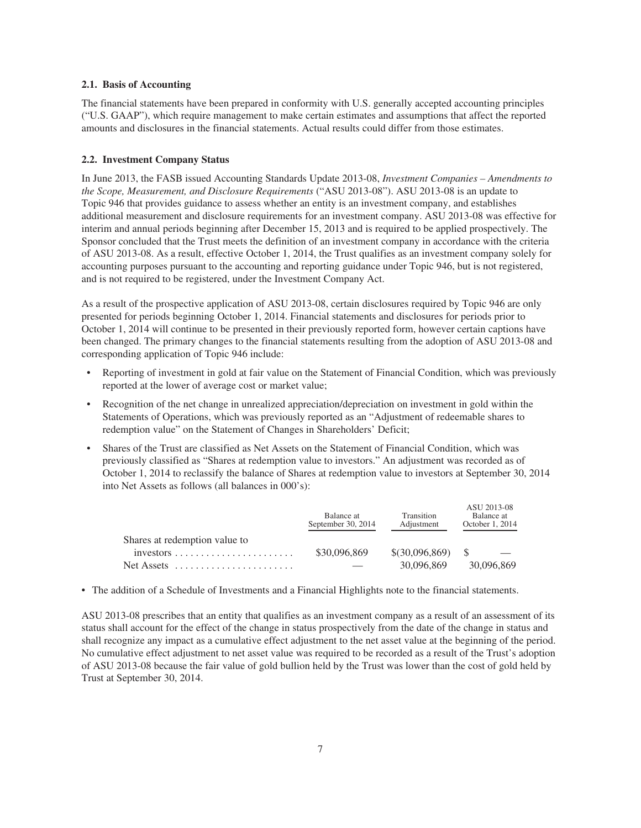#### **2.1. Basis of Accounting**

The financial statements have been prepared in conformity with U.S. generally accepted accounting principles ("U.S. GAAP"), which require management to make certain estimates and assumptions that affect the reported amounts and disclosures in the financial statements. Actual results could differ from those estimates.

#### **2.2. Investment Company Status**

In June 2013, the FASB issued Accounting Standards Update 2013-08, *Investment Companies – Amendments to the Scope, Measurement, and Disclosure Requirements* ("ASU 2013-08"). ASU 2013-08 is an update to Topic 946 that provides guidance to assess whether an entity is an investment company, and establishes additional measurement and disclosure requirements for an investment company. ASU 2013-08 was effective for interim and annual periods beginning after December 15, 2013 and is required to be applied prospectively. The Sponsor concluded that the Trust meets the definition of an investment company in accordance with the criteria of ASU 2013-08. As a result, effective October 1, 2014, the Trust qualifies as an investment company solely for accounting purposes pursuant to the accounting and reporting guidance under Topic 946, but is not registered, and is not required to be registered, under the Investment Company Act.

As a result of the prospective application of ASU 2013-08, certain disclosures required by Topic 946 are only presented for periods beginning October 1, 2014. Financial statements and disclosures for periods prior to October 1, 2014 will continue to be presented in their previously reported form, however certain captions have been changed. The primary changes to the financial statements resulting from the adoption of ASU 2013-08 and corresponding application of Topic 946 include:

- Reporting of investment in gold at fair value on the Statement of Financial Condition, which was previously reported at the lower of average cost or market value;
- Recognition of the net change in unrealized appreciation/depreciation on investment in gold within the Statements of Operations, which was previously reported as an "Adjustment of redeemable shares to redemption value" on the Statement of Changes in Shareholders' Deficit;
- Shares of the Trust are classified as Net Assets on the Statement of Financial Condition, which was previously classified as "Shares at redemption value to investors." An adjustment was recorded as of October 1, 2014 to reclassify the balance of Shares at redemption value to investors at September 30, 2014 into Net Assets as follows (all balances in 000's):

|                               | Balance at<br>September 30, 2014 | <b>Transition</b><br>Adjustment | ASU 2013-08<br>Balance at<br>October $1, 2014$ |
|-------------------------------|----------------------------------|---------------------------------|------------------------------------------------|
| Shares at redemption value to |                                  |                                 |                                                |
|                               | \$30,096,869                     | \$(30,096,869)                  | - \$<br>$\overline{\phantom{m}}$               |
| Net Assets                    |                                  | 30,096,869                      | 30,096,869                                     |

• The addition of a Schedule of Investments and a Financial Highlights note to the financial statements.

ASU 2013-08 prescribes that an entity that qualifies as an investment company as a result of an assessment of its status shall account for the effect of the change in status prospectively from the date of the change in status and shall recognize any impact as a cumulative effect adjustment to the net asset value at the beginning of the period. No cumulative effect adjustment to net asset value was required to be recorded as a result of the Trust's adoption of ASU 2013-08 because the fair value of gold bullion held by the Trust was lower than the cost of gold held by Trust at September 30, 2014.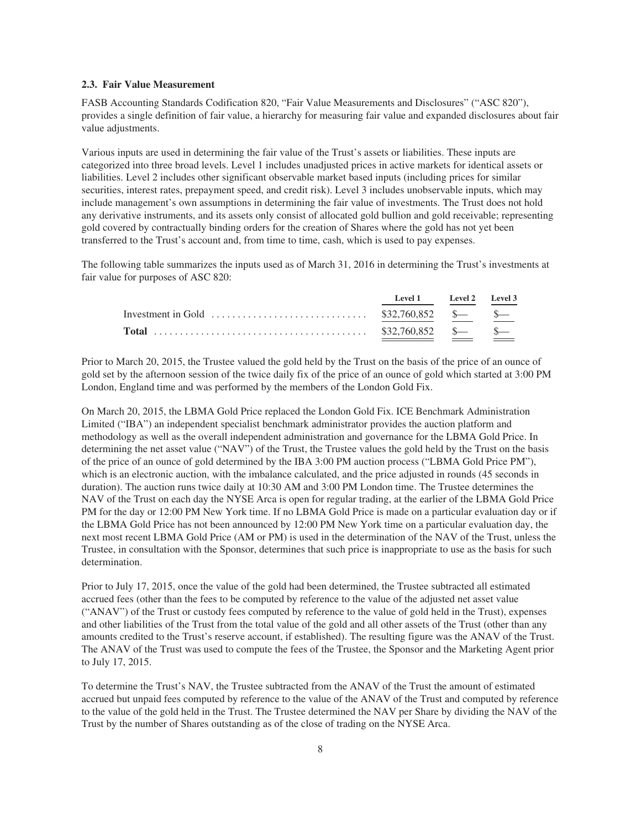#### **2.3. Fair Value Measurement**

FASB Accounting Standards Codification 820, "Fair Value Measurements and Disclosures" ("ASC 820"), provides a single definition of fair value, a hierarchy for measuring fair value and expanded disclosures about fair value adjustments.

Various inputs are used in determining the fair value of the Trust's assets or liabilities. These inputs are categorized into three broad levels. Level 1 includes unadjusted prices in active markets for identical assets or liabilities. Level 2 includes other significant observable market based inputs (including prices for similar securities, interest rates, prepayment speed, and credit risk). Level 3 includes unobservable inputs, which may include management's own assumptions in determining the fair value of investments. The Trust does not hold any derivative instruments, and its assets only consist of allocated gold bullion and gold receivable; representing gold covered by contractually binding orders for the creation of Shares where the gold has not yet been transferred to the Trust's account and, from time to time, cash, which is used to pay expenses.

The following table summarizes the inputs used as of March 31, 2016 in determining the Trust's investments at fair value for purposes of ASC 820:

| Level 1 Level 2 Level 3 |          |
|-------------------------|----------|
|                         |          |
|                         | $\equiv$ |

Prior to March 20, 2015, the Trustee valued the gold held by the Trust on the basis of the price of an ounce of gold set by the afternoon session of the twice daily fix of the price of an ounce of gold which started at 3:00 PM London, England time and was performed by the members of the London Gold Fix.

On March 20, 2015, the LBMA Gold Price replaced the London Gold Fix. ICE Benchmark Administration Limited ("IBA") an independent specialist benchmark administrator provides the auction platform and methodology as well as the overall independent administration and governance for the LBMA Gold Price. In determining the net asset value ("NAV") of the Trust, the Trustee values the gold held by the Trust on the basis of the price of an ounce of gold determined by the IBA 3:00 PM auction process ("LBMA Gold Price PM"), which is an electronic auction, with the imbalance calculated, and the price adjusted in rounds (45 seconds in duration). The auction runs twice daily at 10:30 AM and 3:00 PM London time. The Trustee determines the NAV of the Trust on each day the NYSE Arca is open for regular trading, at the earlier of the LBMA Gold Price PM for the day or 12:00 PM New York time. If no LBMA Gold Price is made on a particular evaluation day or if the LBMA Gold Price has not been announced by 12:00 PM New York time on a particular evaluation day, the next most recent LBMA Gold Price (AM or PM) is used in the determination of the NAV of the Trust, unless the Trustee, in consultation with the Sponsor, determines that such price is inappropriate to use as the basis for such determination.

Prior to July 17, 2015, once the value of the gold had been determined, the Trustee subtracted all estimated accrued fees (other than the fees to be computed by reference to the value of the adjusted net asset value ("ANAV") of the Trust or custody fees computed by reference to the value of gold held in the Trust), expenses and other liabilities of the Trust from the total value of the gold and all other assets of the Trust (other than any amounts credited to the Trust's reserve account, if established). The resulting figure was the ANAV of the Trust. The ANAV of the Trust was used to compute the fees of the Trustee, the Sponsor and the Marketing Agent prior to July 17, 2015.

To determine the Trust's NAV, the Trustee subtracted from the ANAV of the Trust the amount of estimated accrued but unpaid fees computed by reference to the value of the ANAV of the Trust and computed by reference to the value of the gold held in the Trust. The Trustee determined the NAV per Share by dividing the NAV of the Trust by the number of Shares outstanding as of the close of trading on the NYSE Arca.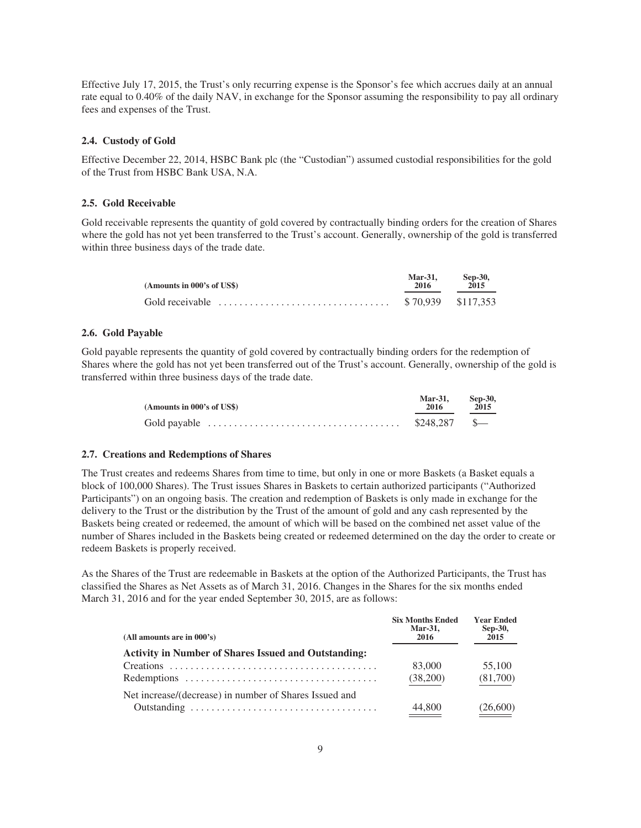Effective July 17, 2015, the Trust's only recurring expense is the Sponsor's fee which accrues daily at an annual rate equal to 0.40% of the daily NAV, in exchange for the Sponsor assuming the responsibility to pay all ordinary fees and expenses of the Trust.

#### **2.4. Custody of Gold**

Effective December 22, 2014, HSBC Bank plc (the "Custodian") assumed custodial responsibilities for the gold of the Trust from HSBC Bank USA, N.A.

#### **2.5. Gold Receivable**

Gold receivable represents the quantity of gold covered by contractually binding orders for the creation of Shares where the gold has not yet been transferred to the Trust's account. Generally, ownership of the gold is transferred within three business days of the trade date.

| (Amounts in 000's of US\$)                                                     | <b>Mar-31.</b><br>2016 | Sep-30,<br>2015    |
|--------------------------------------------------------------------------------|------------------------|--------------------|
| Gold receivable $\dots\dots\dots\dots\dots\dots\dots\dots\dots\dots\dots\dots$ |                        | \$70.939 \$117.353 |

#### **2.6. Gold Payable**

Gold payable represents the quantity of gold covered by contractually binding orders for the redemption of Shares where the gold has not yet been transferred out of the Trust's account. Generally, ownership of the gold is transferred within three business days of the trade date.

| (Amounts in 000's of US\$)                                                                    | <b>Mar-31.</b><br>2016 | Sep-30,<br>2015 |
|-----------------------------------------------------------------------------------------------|------------------------|-----------------|
| Gold payable $\ldots, \ldots, \ldots, \ldots, \ldots, \ldots, \ldots, \ldots, \ldots, \ldots$ | $$248.287$ \$          |                 |

#### **2.7. Creations and Redemptions of Shares**

The Trust creates and redeems Shares from time to time, but only in one or more Baskets (a Basket equals a block of 100,000 Shares). The Trust issues Shares in Baskets to certain authorized participants ("Authorized Participants") on an ongoing basis. The creation and redemption of Baskets is only made in exchange for the delivery to the Trust or the distribution by the Trust of the amount of gold and any cash represented by the Baskets being created or redeemed, the amount of which will be based on the combined net asset value of the number of Shares included in the Baskets being created or redeemed determined on the day the order to create or redeem Baskets is properly received.

As the Shares of the Trust are redeemable in Baskets at the option of the Authorized Participants, the Trust has classified the Shares as Net Assets as of March 31, 2016. Changes in the Shares for the six months ended March 31, 2016 and for the year ended September 30, 2015, are as follows:

| (All amounts are in $000's$ )                               | <b>Six Months Ended</b><br>Mar-31,<br>2016 | <b>Year Ended</b><br>Sep-30,<br>2015 |
|-------------------------------------------------------------|--------------------------------------------|--------------------------------------|
| <b>Activity in Number of Shares Issued and Outstanding:</b> |                                            |                                      |
|                                                             | 83,000                                     | 55,100                               |
|                                                             | (38,200)                                   | (81,700)                             |
| Net increase/(decrease) in number of Shares Issued and      |                                            |                                      |
|                                                             | 44,800                                     | (26,600)                             |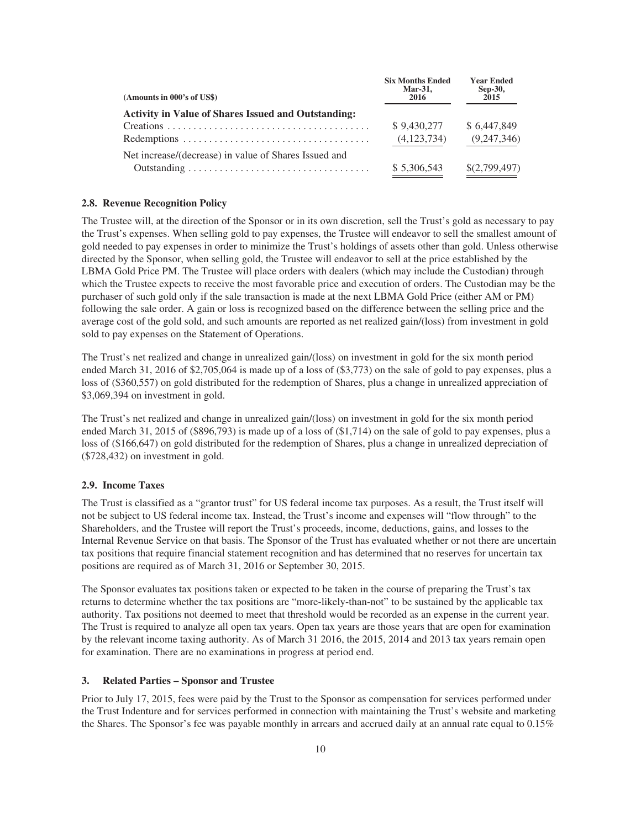| (Amounts in 000's of US\$)                                 | <b>Six Months Ended</b><br><b>Mar-31,</b><br>2016 | <b>Year Ended</b><br>Sep-30,<br>$2015$ |
|------------------------------------------------------------|---------------------------------------------------|----------------------------------------|
| <b>Activity in Value of Shares Issued and Outstanding:</b> |                                                   |                                        |
|                                                            | \$9,430,277                                       | \$6.447.849                            |
|                                                            | (4,123,734)                                       | (9,247,346)                            |
| Net increase/(decrease) in value of Shares Issued and      |                                                   |                                        |
|                                                            | \$5,306,543                                       | \$(2,799,497)                          |

#### **2.8. Revenue Recognition Policy**

The Trustee will, at the direction of the Sponsor or in its own discretion, sell the Trust's gold as necessary to pay the Trust's expenses. When selling gold to pay expenses, the Trustee will endeavor to sell the smallest amount of gold needed to pay expenses in order to minimize the Trust's holdings of assets other than gold. Unless otherwise directed by the Sponsor, when selling gold, the Trustee will endeavor to sell at the price established by the LBMA Gold Price PM. The Trustee will place orders with dealers (which may include the Custodian) through which the Trustee expects to receive the most favorable price and execution of orders. The Custodian may be the purchaser of such gold only if the sale transaction is made at the next LBMA Gold Price (either AM or PM) following the sale order. A gain or loss is recognized based on the difference between the selling price and the average cost of the gold sold, and such amounts are reported as net realized gain/(loss) from investment in gold sold to pay expenses on the Statement of Operations.

The Trust's net realized and change in unrealized gain/(loss) on investment in gold for the six month period ended March 31, 2016 of \$2,705,064 is made up of a loss of (\$3,773) on the sale of gold to pay expenses, plus a loss of (\$360,557) on gold distributed for the redemption of Shares, plus a change in unrealized appreciation of \$3,069,394 on investment in gold.

The Trust's net realized and change in unrealized gain/(loss) on investment in gold for the six month period ended March 31, 2015 of (\$896,793) is made up of a loss of (\$1,714) on the sale of gold to pay expenses, plus a loss of (\$166,647) on gold distributed for the redemption of Shares, plus a change in unrealized depreciation of (\$728,432) on investment in gold.

#### **2.9. Income Taxes**

The Trust is classified as a "grantor trust" for US federal income tax purposes. As a result, the Trust itself will not be subject to US federal income tax. Instead, the Trust's income and expenses will "flow through" to the Shareholders, and the Trustee will report the Trust's proceeds, income, deductions, gains, and losses to the Internal Revenue Service on that basis. The Sponsor of the Trust has evaluated whether or not there are uncertain tax positions that require financial statement recognition and has determined that no reserves for uncertain tax positions are required as of March 31, 2016 or September 30, 2015.

The Sponsor evaluates tax positions taken or expected to be taken in the course of preparing the Trust's tax returns to determine whether the tax positions are "more-likely-than-not" to be sustained by the applicable tax authority. Tax positions not deemed to meet that threshold would be recorded as an expense in the current year. The Trust is required to analyze all open tax years. Open tax years are those years that are open for examination by the relevant income taxing authority. As of March 31 2016, the 2015, 2014 and 2013 tax years remain open for examination. There are no examinations in progress at period end.

#### **3. Related Parties – Sponsor and Trustee**

Prior to July 17, 2015, fees were paid by the Trust to the Sponsor as compensation for services performed under the Trust Indenture and for services performed in connection with maintaining the Trust's website and marketing the Shares. The Sponsor's fee was payable monthly in arrears and accrued daily at an annual rate equal to 0.15%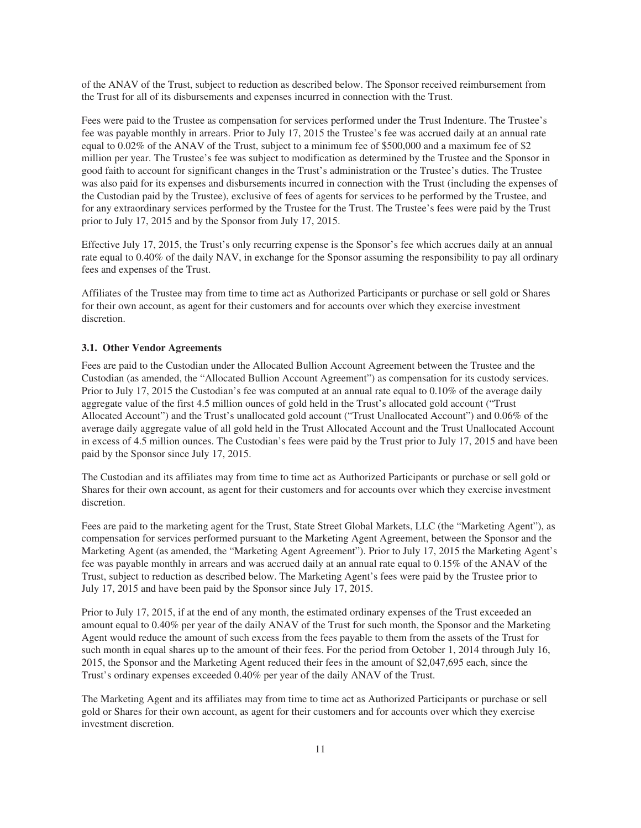of the ANAV of the Trust, subject to reduction as described below. The Sponsor received reimbursement from the Trust for all of its disbursements and expenses incurred in connection with the Trust.

Fees were paid to the Trustee as compensation for services performed under the Trust Indenture. The Trustee's fee was payable monthly in arrears. Prior to July 17, 2015 the Trustee's fee was accrued daily at an annual rate equal to 0.02% of the ANAV of the Trust, subject to a minimum fee of \$500,000 and a maximum fee of \$2 million per year. The Trustee's fee was subject to modification as determined by the Trustee and the Sponsor in good faith to account for significant changes in the Trust's administration or the Trustee's duties. The Trustee was also paid for its expenses and disbursements incurred in connection with the Trust (including the expenses of the Custodian paid by the Trustee), exclusive of fees of agents for services to be performed by the Trustee, and for any extraordinary services performed by the Trustee for the Trust. The Trustee's fees were paid by the Trust prior to July 17, 2015 and by the Sponsor from July 17, 2015.

Effective July 17, 2015, the Trust's only recurring expense is the Sponsor's fee which accrues daily at an annual rate equal to 0.40% of the daily NAV, in exchange for the Sponsor assuming the responsibility to pay all ordinary fees and expenses of the Trust.

Affiliates of the Trustee may from time to time act as Authorized Participants or purchase or sell gold or Shares for their own account, as agent for their customers and for accounts over which they exercise investment discretion.

#### **3.1. Other Vendor Agreements**

Fees are paid to the Custodian under the Allocated Bullion Account Agreement between the Trustee and the Custodian (as amended, the "Allocated Bullion Account Agreement") as compensation for its custody services. Prior to July 17, 2015 the Custodian's fee was computed at an annual rate equal to 0.10% of the average daily aggregate value of the first 4.5 million ounces of gold held in the Trust's allocated gold account ("Trust Allocated Account") and the Trust's unallocated gold account ("Trust Unallocated Account") and 0.06% of the average daily aggregate value of all gold held in the Trust Allocated Account and the Trust Unallocated Account in excess of 4.5 million ounces. The Custodian's fees were paid by the Trust prior to July 17, 2015 and have been paid by the Sponsor since July 17, 2015.

The Custodian and its affiliates may from time to time act as Authorized Participants or purchase or sell gold or Shares for their own account, as agent for their customers and for accounts over which they exercise investment discretion.

Fees are paid to the marketing agent for the Trust, State Street Global Markets, LLC (the "Marketing Agent"), as compensation for services performed pursuant to the Marketing Agent Agreement, between the Sponsor and the Marketing Agent (as amended, the "Marketing Agent Agreement"). Prior to July 17, 2015 the Marketing Agent's fee was payable monthly in arrears and was accrued daily at an annual rate equal to 0.15% of the ANAV of the Trust, subject to reduction as described below. The Marketing Agent's fees were paid by the Trustee prior to July 17, 2015 and have been paid by the Sponsor since July 17, 2015.

Prior to July 17, 2015, if at the end of any month, the estimated ordinary expenses of the Trust exceeded an amount equal to 0.40% per year of the daily ANAV of the Trust for such month, the Sponsor and the Marketing Agent would reduce the amount of such excess from the fees payable to them from the assets of the Trust for such month in equal shares up to the amount of their fees. For the period from October 1, 2014 through July 16, 2015, the Sponsor and the Marketing Agent reduced their fees in the amount of \$2,047,695 each, since the Trust's ordinary expenses exceeded 0.40% per year of the daily ANAV of the Trust.

The Marketing Agent and its affiliates may from time to time act as Authorized Participants or purchase or sell gold or Shares for their own account, as agent for their customers and for accounts over which they exercise investment discretion.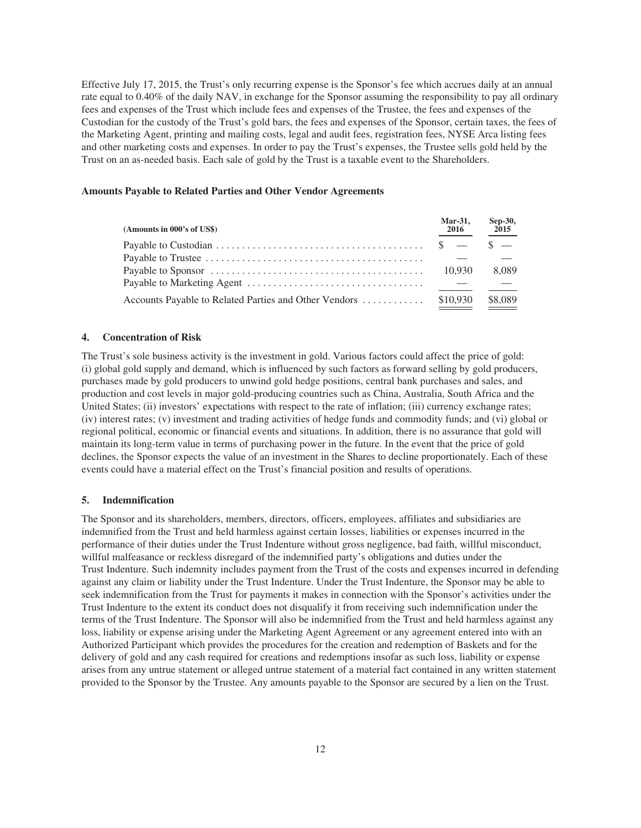Effective July 17, 2015, the Trust's only recurring expense is the Sponsor's fee which accrues daily at an annual rate equal to 0.40% of the daily NAV, in exchange for the Sponsor assuming the responsibility to pay all ordinary fees and expenses of the Trust which include fees and expenses of the Trustee, the fees and expenses of the Custodian for the custody of the Trust's gold bars, the fees and expenses of the Sponsor, certain taxes, the fees of the Marketing Agent, printing and mailing costs, legal and audit fees, registration fees, NYSE Arca listing fees and other marketing costs and expenses. In order to pay the Trust's expenses, the Trustee sells gold held by the Trust on an as-needed basis. Each sale of gold by the Trust is a taxable event to the Shareholders.

#### **Amounts Payable to Related Parties and Other Vendor Agreements**

| (Amounts in 000's of US\$) | Mar-31,<br>2016 | Sep-30,<br>2015 |
|----------------------------|-----------------|-----------------|
|                            |                 | $\sim$          |
|                            |                 |                 |
|                            | 10.930          | 8.089           |
|                            |                 |                 |
|                            |                 | \$8,089         |

#### **4. Concentration of Risk**

The Trust's sole business activity is the investment in gold. Various factors could affect the price of gold: (i) global gold supply and demand, which is influenced by such factors as forward selling by gold producers, purchases made by gold producers to unwind gold hedge positions, central bank purchases and sales, and production and cost levels in major gold-producing countries such as China, Australia, South Africa and the United States; (ii) investors' expectations with respect to the rate of inflation; (iii) currency exchange rates; (iv) interest rates; (v) investment and trading activities of hedge funds and commodity funds; and (vi) global or regional political, economic or financial events and situations. In addition, there is no assurance that gold will maintain its long-term value in terms of purchasing power in the future. In the event that the price of gold declines, the Sponsor expects the value of an investment in the Shares to decline proportionately. Each of these events could have a material effect on the Trust's financial position and results of operations.

#### **5. Indemnification**

The Sponsor and its shareholders, members, directors, officers, employees, affiliates and subsidiaries are indemnified from the Trust and held harmless against certain losses, liabilities or expenses incurred in the performance of their duties under the Trust Indenture without gross negligence, bad faith, willful misconduct, willful malfeasance or reckless disregard of the indemnified party's obligations and duties under the Trust Indenture. Such indemnity includes payment from the Trust of the costs and expenses incurred in defending against any claim or liability under the Trust Indenture. Under the Trust Indenture, the Sponsor may be able to seek indemnification from the Trust for payments it makes in connection with the Sponsor's activities under the Trust Indenture to the extent its conduct does not disqualify it from receiving such indemnification under the terms of the Trust Indenture. The Sponsor will also be indemnified from the Trust and held harmless against any loss, liability or expense arising under the Marketing Agent Agreement or any agreement entered into with an Authorized Participant which provides the procedures for the creation and redemption of Baskets and for the delivery of gold and any cash required for creations and redemptions insofar as such loss, liability or expense arises from any untrue statement or alleged untrue statement of a material fact contained in any written statement provided to the Sponsor by the Trustee. Any amounts payable to the Sponsor are secured by a lien on the Trust.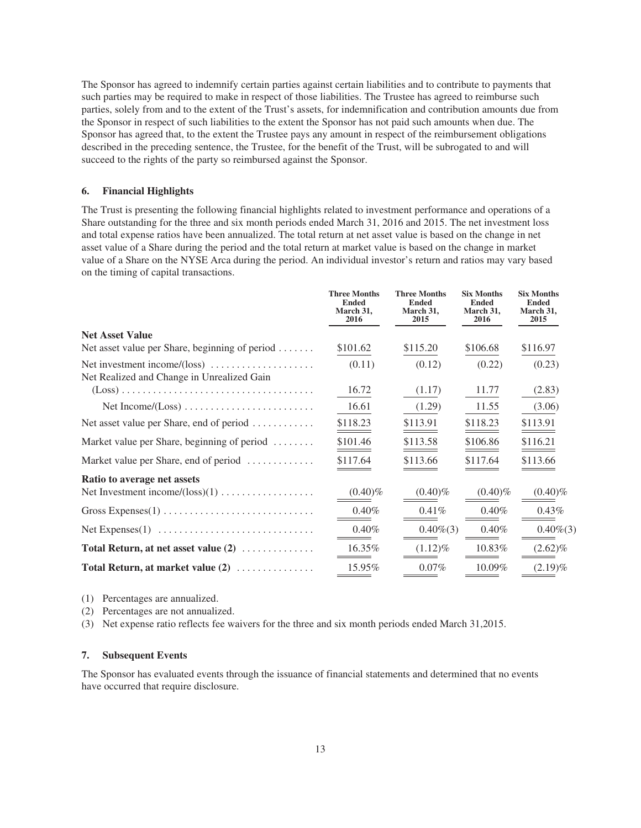The Sponsor has agreed to indemnify certain parties against certain liabilities and to contribute to payments that such parties may be required to make in respect of those liabilities. The Trustee has agreed to reimburse such parties, solely from and to the extent of the Trust's assets, for indemnification and contribution amounts due from the Sponsor in respect of such liabilities to the extent the Sponsor has not paid such amounts when due. The Sponsor has agreed that, to the extent the Trustee pays any amount in respect of the reimbursement obligations described in the preceding sentence, the Trustee, for the benefit of the Trust, will be subrogated to and will succeed to the rights of the party so reimbursed against the Sponsor.

#### **6. Financial Highlights**

The Trust is presenting the following financial highlights related to investment performance and operations of a Share outstanding for the three and six month periods ended March 31, 2016 and 2015. The net investment loss and total expense ratios have been annualized. The total return at net asset value is based on the change in net asset value of a Share during the period and the total return at market value is based on the change in market value of a Share on the NYSE Arca during the period. An individual investor's return and ratios may vary based on the timing of capital transactions.

|                                                                            | <b>Three Months</b><br><b>Ended</b><br>March 31,<br>2016 | <b>Three Months</b><br><b>Ended</b><br>March 31,<br>2015 | <b>Six Months</b><br><b>Ended</b><br>March 31,<br>2016 | <b>Six Months</b><br><b>Ended</b><br>March 31,<br>2015 |
|----------------------------------------------------------------------------|----------------------------------------------------------|----------------------------------------------------------|--------------------------------------------------------|--------------------------------------------------------|
| <b>Net Asset Value</b>                                                     |                                                          |                                                          |                                                        |                                                        |
| Net asset value per Share, beginning of period $\dots \dots$               | \$101.62                                                 | \$115.20                                                 | \$106.68                                               | \$116.97                                               |
| Net investment income/(loss)<br>Net Realized and Change in Unrealized Gain | (0.11)                                                   | (0.12)                                                   | (0.22)                                                 | (0.23)                                                 |
|                                                                            | 16.72                                                    | (1.17)                                                   | 11.77                                                  | (2.83)                                                 |
|                                                                            | 16.61                                                    | (1.29)                                                   | 11.55                                                  | (3.06)                                                 |
| Net asset value per Share, end of period                                   | \$118.23                                                 | \$113.91                                                 | \$118.23                                               | \$113.91                                               |
| Market value per Share, beginning of period                                | \$101.46                                                 | \$113.58                                                 | \$106.86                                               | \$116.21                                               |
| Market value per Share, end of period                                      | \$117.64                                                 | \$113.66                                                 | \$117.64                                               | \$113.66                                               |
| Ratio to average net assets                                                |                                                          |                                                          |                                                        |                                                        |
|                                                                            | $(0.40)\%$                                               | $(0.40)\%$                                               | $(0.40)\%$                                             | $(0.40)\%$                                             |
|                                                                            | $0.40\%$                                                 | $0.41\%$                                                 | $0.40\%$                                               | $0.43\%$                                               |
|                                                                            | $0.40\%$                                                 | $0.40\%(3)$                                              | $0.40\%$                                               | $0.40\%(3)$                                            |
| Total Return, at net asset value $(2)$                                     | 16.35%                                                   | $(1.12)\%$                                               | 10.83%                                                 | $(2.62)\%$                                             |
| Total Return, at market value $(2)$                                        | 15.95%                                                   | $0.07\%$                                                 | 10.09%                                                 | $(2.19)\%$                                             |

(1) Percentages are annualized.

(2) Percentages are not annualized.

(3) Net expense ratio reflects fee waivers for the three and six month periods ended March 31,2015.

#### **7. Subsequent Events**

The Sponsor has evaluated events through the issuance of financial statements and determined that no events have occurred that require disclosure.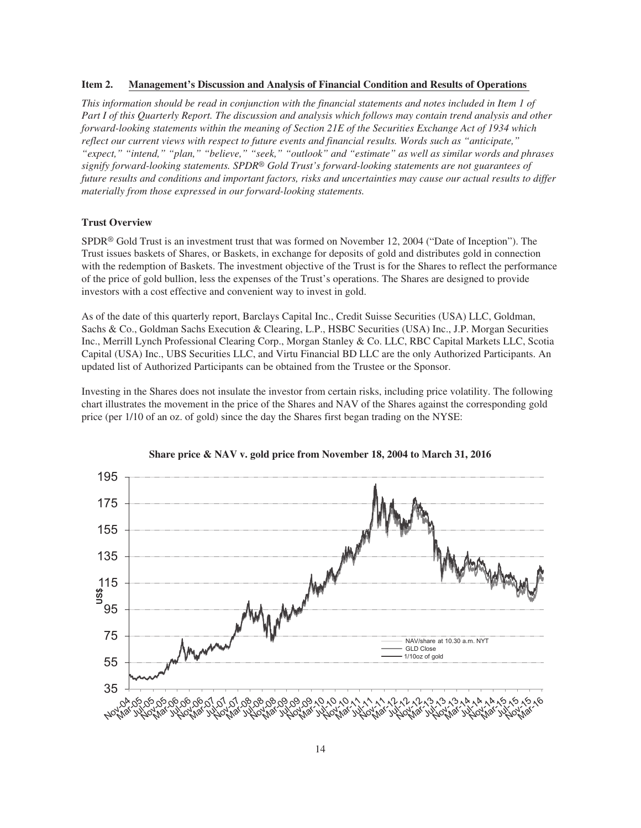#### **Item 2. Management's Discussion and Analysis of Financial Condition and Results of Operations**

*This information should be read in conjunction with the financial statements and notes included in Item 1 of Part I of this Quarterly Report. The discussion and analysis which follows may contain trend analysis and other forward-looking statements within the meaning of Section 21E of the Securities Exchange Act of 1934 which reflect our current views with respect to future events and financial results. Words such as "anticipate," "expect," "intend," "plan," "believe," "seek," "outlook" and "estimate" as well as similar words and phrases signify forward-looking statements. SPDR*® *Gold Trust's forward-looking statements are not guarantees of future results and conditions and important factors, risks and uncertainties may cause our actual results to differ materially from those expressed in our forward-looking statements.*

#### **Trust Overview**

SPDR® Gold Trust is an investment trust that was formed on November 12, 2004 ("Date of Inception"). The Trust issues baskets of Shares, or Baskets, in exchange for deposits of gold and distributes gold in connection with the redemption of Baskets. The investment objective of the Trust is for the Shares to reflect the performance of the price of gold bullion, less the expenses of the Trust's operations. The Shares are designed to provide investors with a cost effective and convenient way to invest in gold.

As of the date of this quarterly report, Barclays Capital Inc., Credit Suisse Securities (USA) LLC, Goldman, Sachs & Co., Goldman Sachs Execution & Clearing, L.P., HSBC Securities (USA) Inc., J.P. Morgan Securities Inc., Merrill Lynch Professional Clearing Corp., Morgan Stanley & Co. LLC, RBC Capital Markets LLC, Scotia Capital (USA) Inc., UBS Securities LLC, and Virtu Financial BD LLC are the only Authorized Participants. An updated list of Authorized Participants can be obtained from the Trustee or the Sponsor.

Investing in the Shares does not insulate the investor from certain risks, including price volatility. The following chart illustrates the movement in the price of the Shares and NAV of the Shares against the corresponding gold price (per 1/10 of an oz. of gold) since the day the Shares first began trading on the NYSE:



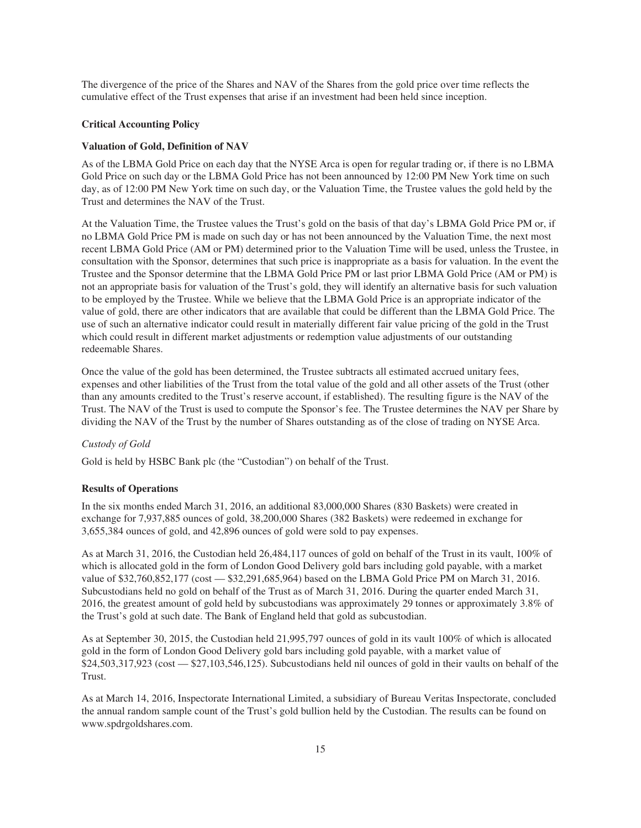The divergence of the price of the Shares and NAV of the Shares from the gold price over time reflects the cumulative effect of the Trust expenses that arise if an investment had been held since inception.

#### **Critical Accounting Policy**

#### **Valuation of Gold, Definition of NAV**

As of the LBMA Gold Price on each day that the NYSE Arca is open for regular trading or, if there is no LBMA Gold Price on such day or the LBMA Gold Price has not been announced by 12:00 PM New York time on such day, as of 12:00 PM New York time on such day, or the Valuation Time, the Trustee values the gold held by the Trust and determines the NAV of the Trust.

At the Valuation Time, the Trustee values the Trust's gold on the basis of that day's LBMA Gold Price PM or, if no LBMA Gold Price PM is made on such day or has not been announced by the Valuation Time, the next most recent LBMA Gold Price (AM or PM) determined prior to the Valuation Time will be used, unless the Trustee, in consultation with the Sponsor, determines that such price is inappropriate as a basis for valuation. In the event the Trustee and the Sponsor determine that the LBMA Gold Price PM or last prior LBMA Gold Price (AM or PM) is not an appropriate basis for valuation of the Trust's gold, they will identify an alternative basis for such valuation to be employed by the Trustee. While we believe that the LBMA Gold Price is an appropriate indicator of the value of gold, there are other indicators that are available that could be different than the LBMA Gold Price. The use of such an alternative indicator could result in materially different fair value pricing of the gold in the Trust which could result in different market adjustments or redemption value adjustments of our outstanding redeemable Shares.

Once the value of the gold has been determined, the Trustee subtracts all estimated accrued unitary fees, expenses and other liabilities of the Trust from the total value of the gold and all other assets of the Trust (other than any amounts credited to the Trust's reserve account, if established). The resulting figure is the NAV of the Trust. The NAV of the Trust is used to compute the Sponsor's fee. The Trustee determines the NAV per Share by dividing the NAV of the Trust by the number of Shares outstanding as of the close of trading on NYSE Arca.

#### *Custody of Gold*

Gold is held by HSBC Bank plc (the "Custodian") on behalf of the Trust.

#### **Results of Operations**

In the six months ended March 31, 2016, an additional 83,000,000 Shares (830 Baskets) were created in exchange for 7,937,885 ounces of gold, 38,200,000 Shares (382 Baskets) were redeemed in exchange for 3,655,384 ounces of gold, and 42,896 ounces of gold were sold to pay expenses.

As at March 31, 2016, the Custodian held 26,484,117 ounces of gold on behalf of the Trust in its vault, 100% of which is allocated gold in the form of London Good Delivery gold bars including gold payable, with a market value of \$32,760,852,177 (cost — \$32,291,685,964) based on the LBMA Gold Price PM on March 31, 2016. Subcustodians held no gold on behalf of the Trust as of March 31, 2016. During the quarter ended March 31, 2016, the greatest amount of gold held by subcustodians was approximately 29 tonnes or approximately 3.8% of the Trust's gold at such date. The Bank of England held that gold as subcustodian.

As at September 30, 2015, the Custodian held 21,995,797 ounces of gold in its vault 100% of which is allocated gold in the form of London Good Delivery gold bars including gold payable, with a market value of \$24,503,317,923 (cost — \$27,103,546,125). Subcustodians held nil ounces of gold in their vaults on behalf of the Trust.

As at March 14, 2016, Inspectorate International Limited, a subsidiary of Bureau Veritas Inspectorate, concluded the annual random sample count of the Trust's gold bullion held by the Custodian. The results can be found on www.spdrgoldshares.com.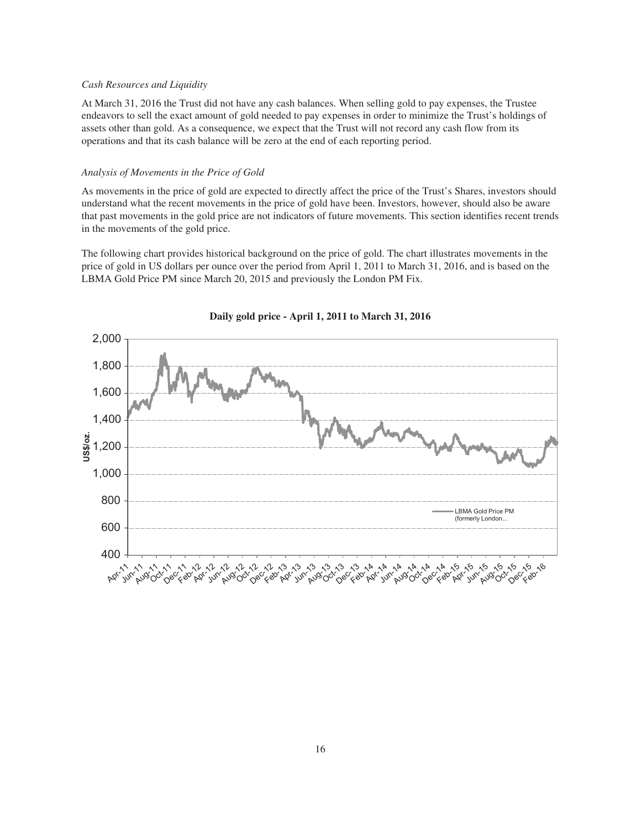#### *Cash Resources and Liquidity*

At March 31, 2016 the Trust did not have any cash balances. When selling gold to pay expenses, the Trustee endeavors to sell the exact amount of gold needed to pay expenses in order to minimize the Trust's holdings of assets other than gold. As a consequence, we expect that the Trust will not record any cash flow from its operations and that its cash balance will be zero at the end of each reporting period.

#### *Analysis of Movements in the Price of Gold*

As movements in the price of gold are expected to directly affect the price of the Trust's Shares, investors should understand what the recent movements in the price of gold have been. Investors, however, should also be aware that past movements in the gold price are not indicators of future movements. This section identifies recent trends in the movements of the gold price.

The following chart provides historical background on the price of gold. The chart illustrates movements in the price of gold in US dollars per ounce over the period from April 1, 2011 to March 31, 2016, and is based on the LBMA Gold Price PM since March 20, 2015 and previously the London PM Fix.



**Daily gold price - April 1, 2011 to March 31, 2016**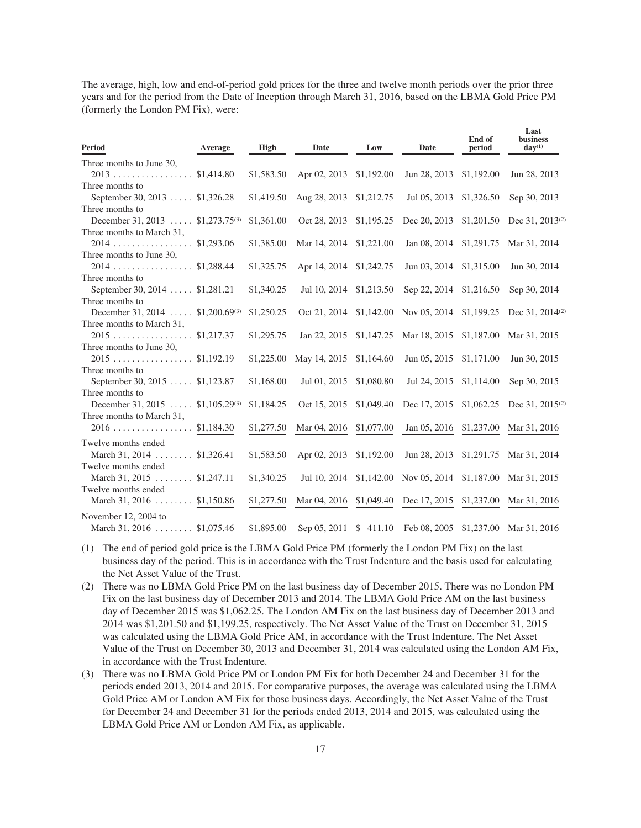The average, high, low and end-of-period gold prices for the three and twelve month periods over the prior three years and for the period from the Date of Inception through March 31, 2016, based on the LBMA Gold Price PM (formerly the London PM Fix), were:

**Last**

| <b>Period</b>                                | Average | <b>High</b> | Date                    | Low        | Date                                            | End of<br>period | பய<br>business<br>$\mathbf{day}^{(1)}$ |
|----------------------------------------------|---------|-------------|-------------------------|------------|-------------------------------------------------|------------------|----------------------------------------|
| Three months to June 30,                     |         |             |                         |            |                                                 |                  |                                        |
| $2013$ \$1,414.80                            |         | \$1,583.50  | Apr 02, 2013 \$1,192.00 |            | Jun 28, 2013                                    | \$1,192.00       | Jun 28, 2013                           |
| Three months to                              |         |             |                         |            |                                                 |                  |                                        |
| September 30, 2013  \$1,326.28               |         | \$1,419.50  | Aug 28, 2013 \$1,212.75 |            | Jul 05, 2013                                    | \$1,326.50       | Sep 30, 2013                           |
| Three months to                              |         |             |                         |            |                                                 |                  |                                        |
| December 31, 2013  \$1,273.75 <sup>(3)</sup> |         | \$1,361.00  | Oct 28, 2013            | \$1,195.25 | Dec 20, 2013                                    |                  | \$1,201.50 Dec 31, 2013 <sup>(2)</sup> |
| Three months to March 31,                    |         |             |                         |            |                                                 |                  |                                        |
|                                              |         | \$1,385.00  | Mar 14, 2014 \$1,221.00 |            | Jan 08, 2014                                    | \$1,291.75       | Mar 31, 2014                           |
| Three months to June 30,                     |         |             |                         |            |                                                 |                  |                                        |
| $2014$ \$1,288.44                            |         | \$1,325.75  | Apr 14, 2014 \$1,242.75 |            | Jun 03, 2014 \$1,315.00                         |                  | Jun 30, 2014                           |
| Three months to                              |         |             |                         |            |                                                 |                  |                                        |
| September 30, 2014  \$1,281.21               |         | \$1,340.25  | Jul 10, 2014 \$1,213.50 |            | Sep 22, 2014 \$1,216.50                         |                  | Sep 30, 2014                           |
| Three months to                              |         |             |                         |            |                                                 |                  |                                        |
| December 31, 2014  \$1,200.69 <sup>(3)</sup> |         | \$1,250.25  |                         |            | Oct 21, 2014 \$1,142.00 Nov 05, 2014 \$1,199.25 |                  | Dec 31, 2014 <sup>(2)</sup>            |
| Three months to March 31,                    |         |             |                         |            |                                                 |                  |                                        |
|                                              |         | \$1,295.75  | Jan 22, 2015 \$1,147.25 |            | Mar 18, 2015 \$1,187.00                         |                  | Mar 31, 2015                           |
| Three months to June 30,                     |         |             |                         |            |                                                 |                  |                                        |
|                                              |         | \$1,225.00  | May 14, 2015 \$1,164.60 |            | Jun 05, 2015                                    | \$1,171.00       | Jun 30, 2015                           |
| Three months to                              |         |             |                         |            |                                                 |                  |                                        |
| September 30, 2015  \$1,123.87               |         | \$1,168.00  | Jul 01, 2015            | \$1,080.80 | Jul 24, 2015                                    | \$1,114.00       | Sep 30, 2015                           |
| Three months to                              |         |             |                         |            |                                                 |                  |                                        |
| December 31, 2015  \$1,105.29 <sup>(3)</sup> |         | \$1,184.25  | Oct 15, 2015            | \$1,049.40 | Dec 17, 2015                                    | \$1,062.25       | Dec 31, $2015^{(2)}$                   |
| Three months to March 31,                    |         |             |                         |            |                                                 |                  |                                        |
| $2016$ \$1,184.30                            |         | \$1,277.50  | Mar 04, 2016 \$1,077.00 |            | Jan 05, 2016                                    | \$1,237.00       | Mar 31, 2016                           |
| Twelve months ended                          |         |             |                         |            |                                                 |                  |                                        |
| March 31, 2014  \$1,326.41                   |         | \$1,583.50  | Apr 02, 2013 \$1,192.00 |            | Jun 28, 2013                                    | \$1,291.75       | Mar 31, 2014                           |
| Twelve months ended                          |         |             |                         |            |                                                 |                  |                                        |
| March 31, 2015  \$1,247.11                   |         | \$1,340.25  | Jul 10, 2014            |            | \$1,142.00 Nov 05, 2014 \$1,187.00 Mar 31, 2015 |                  |                                        |
| Twelve months ended                          |         |             |                         |            |                                                 |                  |                                        |
| March 31, 2016 $\dots$ \$1,150.86            |         | \$1,277.50  | Mar 04, 2016 \$1,049.40 |            | Dec 17, 2015                                    | \$1,237.00       | Mar 31, 2016                           |
| November 12, 2004 to                         |         |             |                         |            |                                                 |                  |                                        |
| March 31, 2016 $\dots \dots$ \$1,075.46      |         | \$1,895.00  | Sep 05, 2011            | \$411.10   | Feb 08, 2005                                    |                  | \$1,237.00 Mar 31, 2016                |
|                                              |         |             |                         |            |                                                 |                  |                                        |

(1) The end of period gold price is the LBMA Gold Price PM (formerly the London PM Fix) on the last business day of the period. This is in accordance with the Trust Indenture and the basis used for calculating the Net Asset Value of the Trust.

- (2) There was no LBMA Gold Price PM on the last business day of December 2015. There was no London PM Fix on the last business day of December 2013 and 2014. The LBMA Gold Price AM on the last business day of December 2015 was \$1,062.25. The London AM Fix on the last business day of December 2013 and 2014 was \$1,201.50 and \$1,199.25, respectively. The Net Asset Value of the Trust on December 31, 2015 was calculated using the LBMA Gold Price AM, in accordance with the Trust Indenture. The Net Asset Value of the Trust on December 30, 2013 and December 31, 2014 was calculated using the London AM Fix, in accordance with the Trust Indenture.
- (3) There was no LBMA Gold Price PM or London PM Fix for both December 24 and December 31 for the periods ended 2013, 2014 and 2015. For comparative purposes, the average was calculated using the LBMA Gold Price AM or London AM Fix for those business days. Accordingly, the Net Asset Value of the Trust for December 24 and December 31 for the periods ended 2013, 2014 and 2015, was calculated using the LBMA Gold Price AM or London AM Fix, as applicable.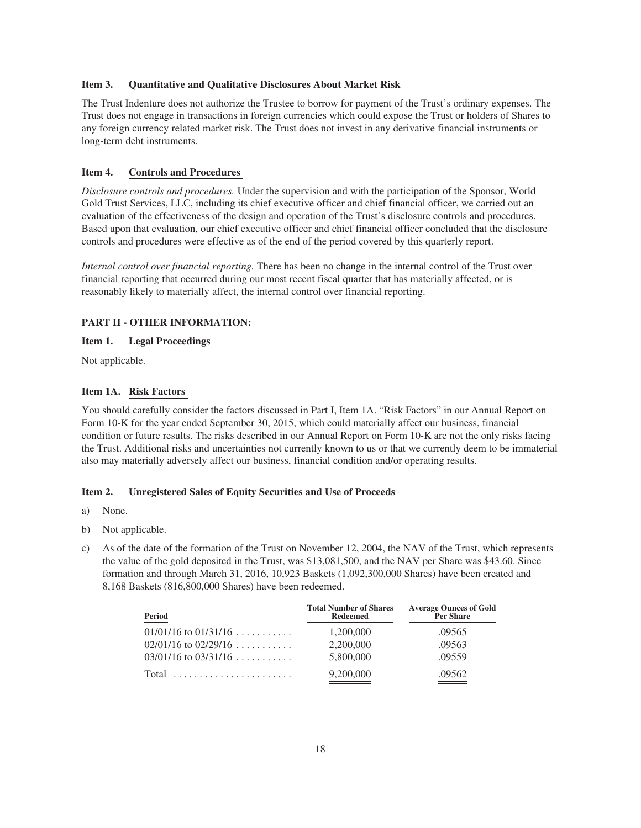#### **Item 3. Quantitative and Qualitative Disclosures About Market Risk**

The Trust Indenture does not authorize the Trustee to borrow for payment of the Trust's ordinary expenses. The Trust does not engage in transactions in foreign currencies which could expose the Trust or holders of Shares to any foreign currency related market risk. The Trust does not invest in any derivative financial instruments or long-term debt instruments.

## **Item 4. Controls and Procedures**

*Disclosure controls and procedures.* Under the supervision and with the participation of the Sponsor, World Gold Trust Services, LLC, including its chief executive officer and chief financial officer, we carried out an evaluation of the effectiveness of the design and operation of the Trust's disclosure controls and procedures. Based upon that evaluation, our chief executive officer and chief financial officer concluded that the disclosure controls and procedures were effective as of the end of the period covered by this quarterly report.

*Internal control over financial reporting.* There has been no change in the internal control of the Trust over financial reporting that occurred during our most recent fiscal quarter that has materially affected, or is reasonably likely to materially affect, the internal control over financial reporting.

## **PART II - OTHER INFORMATION:**

#### **Item 1. Legal Proceedings**

Not applicable.

#### **Item 1A. Risk Factors**

You should carefully consider the factors discussed in Part I, Item 1A. "Risk Factors" in our Annual Report on Form 10-K for the year ended September 30, 2015, which could materially affect our business, financial condition or future results. The risks described in our Annual Report on Form 10-K are not the only risks facing the Trust. Additional risks and uncertainties not currently known to us or that we currently deem to be immaterial also may materially adversely affect our business, financial condition and/or operating results.

#### **Item 2. Unregistered Sales of Equity Securities and Use of Proceeds**

- a) None.
- b) Not applicable.
- c) As of the date of the formation of the Trust on November 12, 2004, the NAV of the Trust, which represents the value of the gold deposited in the Trust, was \$13,081,500, and the NAV per Share was \$43.60. Since formation and through March 31, 2016, 10,923 Baskets (1,092,300,000 Shares) have been created and 8,168 Baskets (816,800,000 Shares) have been redeemed.

| Period                   | <b>Total Number of Shares</b><br><b>Redeemed</b> | <b>Average Ounces of Gold</b><br><b>Per Share</b> |
|--------------------------|--------------------------------------------------|---------------------------------------------------|
| $01/01/16$ to $01/31/16$ | 1,200,000                                        | .09565                                            |
| $02/01/16$ to $02/29/16$ | 2,200,000                                        | .09563                                            |
| $03/01/16$ to $03/31/16$ | 5,800,000                                        | .09559                                            |
| Total                    | 9,200,000                                        | .09562                                            |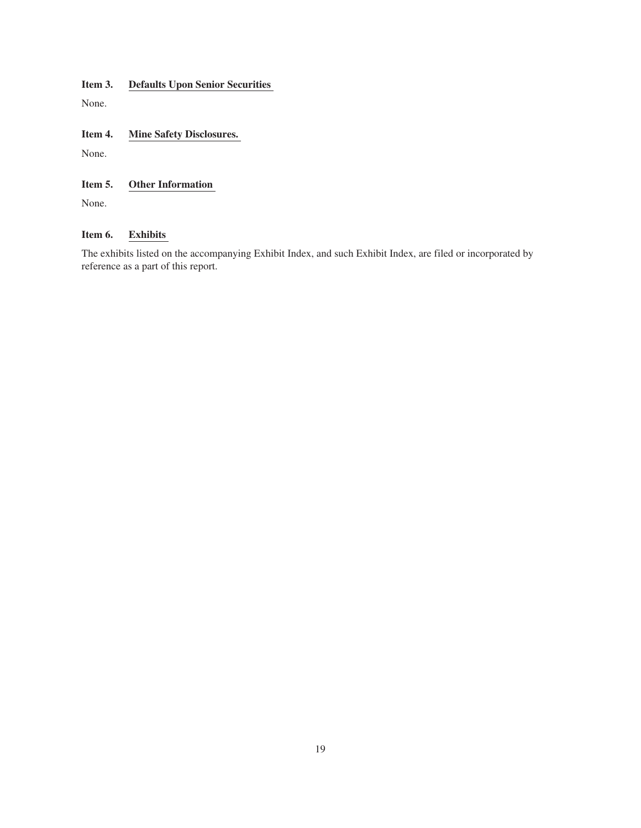**Item 3. Defaults Upon Senior Securities**

None.

**Item 4. Mine Safety Disclosures.**

None.

# **Item 5. Other Information**

None.

# **Item 6. Exhibits**

The exhibits listed on the accompanying Exhibit Index, and such Exhibit Index, are filed or incorporated by reference as a part of this report.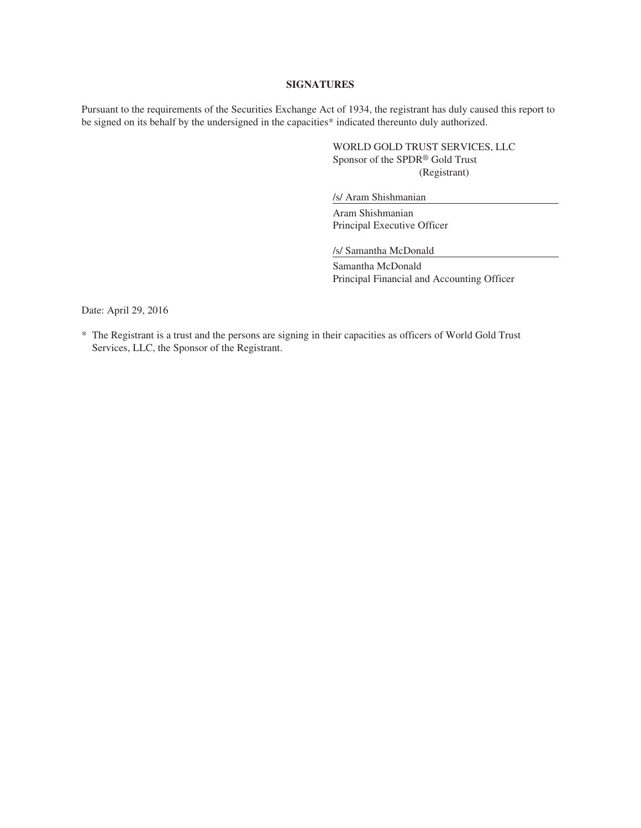# **SIGNATURES**

Pursuant to the requirements of the Securities Exchange Act of 1934, the registrant has duly caused this report to be signed on its behalf by the undersigned in the capacities\* indicated thereunto duly authorized.

> WORLD GOLD TRUST SERVICES, LLC Sponsor of the SPDR® Gold Trust (Registrant)

/s/ Aram Shishmanian

Aram Shishmanian Principal Executive Officer

/s/ Samantha McDonald

Samantha McDonald Principal Financial and Accounting Officer

Date: April 29, 2016

\* The Registrant is a trust and the persons are signing in their capacities as officers of World Gold Trust Services, LLC, the Sponsor of the Registrant.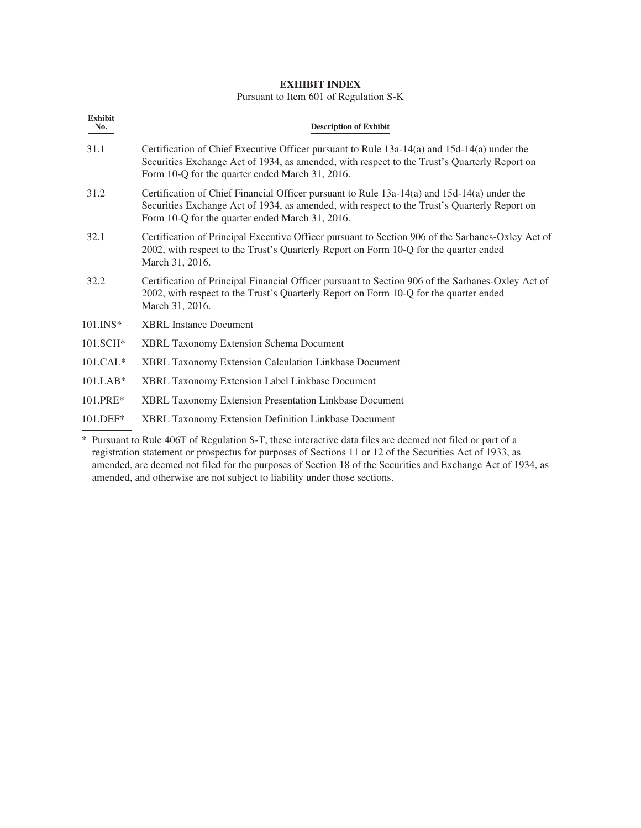# **EXHIBIT INDEX**

Pursuant to Item 601 of Regulation S-K

| <b>Exhibit</b><br>No. | <b>Description of Exhibit</b>                                                                                                                                                                                                                      |
|-----------------------|----------------------------------------------------------------------------------------------------------------------------------------------------------------------------------------------------------------------------------------------------|
| 31.1                  | Certification of Chief Executive Officer pursuant to Rule $13a-14(a)$ and $15d-14(a)$ under the<br>Securities Exchange Act of 1934, as amended, with respect to the Trust's Quarterly Report on<br>Form 10-Q for the quarter ended March 31, 2016. |
| 31.2                  | Certification of Chief Financial Officer pursuant to Rule $13a-14(a)$ and $15d-14(a)$ under the<br>Securities Exchange Act of 1934, as amended, with respect to the Trust's Quarterly Report on<br>Form 10-Q for the quarter ended March 31, 2016. |
| 32.1                  | Certification of Principal Executive Officer pursuant to Section 906 of the Sarbanes-Oxley Act of<br>2002, with respect to the Trust's Quarterly Report on Form 10-Q for the quarter ended<br>March 31, 2016.                                      |
| 32.2                  | Certification of Principal Financial Officer pursuant to Section 906 of the Sarbanes-Oxley Act of<br>2002, with respect to the Trust's Quarterly Report on Form 10-Q for the quarter ended<br>March 31, 2016.                                      |
| $101.$ INS*           | <b>XBRL Instance Document</b>                                                                                                                                                                                                                      |
| $101.SCH*$            | <b>XBRL Taxonomy Extension Schema Document</b>                                                                                                                                                                                                     |
| $101.CAL*$            | <b>XBRL Taxonomy Extension Calculation Linkbase Document</b>                                                                                                                                                                                       |
| $101.LAB*$            | <b>XBRL Taxonomy Extension Label Linkbase Document</b>                                                                                                                                                                                             |
| 101.PRE*              | <b>XBRL Taxonomy Extension Presentation Linkbase Document</b>                                                                                                                                                                                      |
| $101.DEF*$            | <b>XBRL Taxonomy Extension Definition Linkbase Document</b>                                                                                                                                                                                        |
|                       | $\sim$ $\sim$ $\sim$                                                                                                                                                                                                                               |

<sup>\*</sup> Pursuant to Rule 406T of Regulation S-T, these interactive data files are deemed not filed or part of a registration statement or prospectus for purposes of Sections 11 or 12 of the Securities Act of 1933, as amended, are deemed not filed for the purposes of Section 18 of the Securities and Exchange Act of 1934, as amended, and otherwise are not subject to liability under those sections.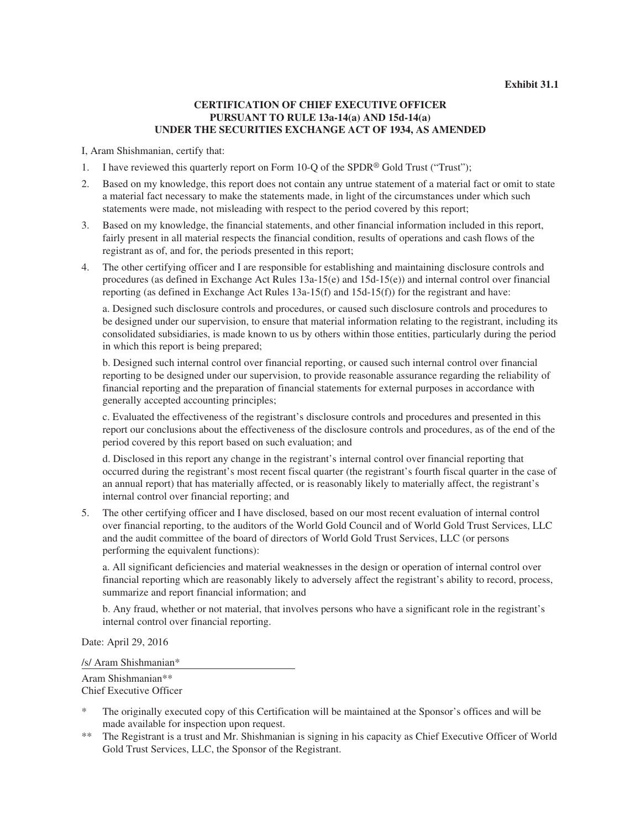# **CERTIFICATION OF CHIEF EXECUTIVE OFFICER PURSUANT TO RULE 13a-14(a) AND 15d-14(a) UNDER THE SECURITIES EXCHANGE ACT OF 1934, AS AMENDED**

I, Aram Shishmanian, certify that:

- 1. I have reviewed this quarterly report on Form 10-Q of the SPDR® Gold Trust ("Trust");
- 2. Based on my knowledge, this report does not contain any untrue statement of a material fact or omit to state a material fact necessary to make the statements made, in light of the circumstances under which such statements were made, not misleading with respect to the period covered by this report;
- 3. Based on my knowledge, the financial statements, and other financial information included in this report, fairly present in all material respects the financial condition, results of operations and cash flows of the registrant as of, and for, the periods presented in this report;
- 4. The other certifying officer and I are responsible for establishing and maintaining disclosure controls and procedures (as defined in Exchange Act Rules 13a-15(e) and 15d-15(e)) and internal control over financial reporting (as defined in Exchange Act Rules 13a-15(f) and 15d-15(f)) for the registrant and have:

a. Designed such disclosure controls and procedures, or caused such disclosure controls and procedures to be designed under our supervision, to ensure that material information relating to the registrant, including its consolidated subsidiaries, is made known to us by others within those entities, particularly during the period in which this report is being prepared;

b. Designed such internal control over financial reporting, or caused such internal control over financial reporting to be designed under our supervision, to provide reasonable assurance regarding the reliability of financial reporting and the preparation of financial statements for external purposes in accordance with generally accepted accounting principles;

c. Evaluated the effectiveness of the registrant's disclosure controls and procedures and presented in this report our conclusions about the effectiveness of the disclosure controls and procedures, as of the end of the period covered by this report based on such evaluation; and

d. Disclosed in this report any change in the registrant's internal control over financial reporting that occurred during the registrant's most recent fiscal quarter (the registrant's fourth fiscal quarter in the case of an annual report) that has materially affected, or is reasonably likely to materially affect, the registrant's internal control over financial reporting; and

5. The other certifying officer and I have disclosed, based on our most recent evaluation of internal control over financial reporting, to the auditors of the World Gold Council and of World Gold Trust Services, LLC and the audit committee of the board of directors of World Gold Trust Services, LLC (or persons performing the equivalent functions):

a. All significant deficiencies and material weaknesses in the design or operation of internal control over financial reporting which are reasonably likely to adversely affect the registrant's ability to record, process, summarize and report financial information; and

b. Any fraud, whether or not material, that involves persons who have a significant role in the registrant's internal control over financial reporting.

Date: April 29, 2016

/s/ Aram Shishmanian\*

Aram Shishmanian\*\* Chief Executive Officer

- The originally executed copy of this Certification will be maintained at the Sponsor's offices and will be made available for inspection upon request.
- The Registrant is a trust and Mr. Shishmanian is signing in his capacity as Chief Executive Officer of World Gold Trust Services, LLC, the Sponsor of the Registrant.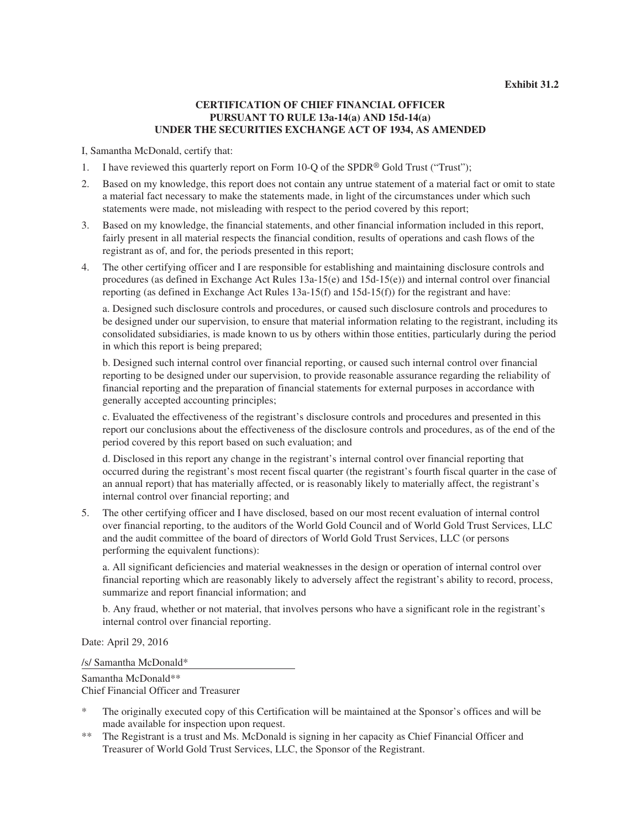# **CERTIFICATION OF CHIEF FINANCIAL OFFICER PURSUANT TO RULE 13a-14(a) AND 15d-14(a) UNDER THE SECURITIES EXCHANGE ACT OF 1934, AS AMENDED**

I, Samantha McDonald, certify that:

- 1. I have reviewed this quarterly report on Form 10-Q of the SPDR® Gold Trust ("Trust");
- 2. Based on my knowledge, this report does not contain any untrue statement of a material fact or omit to state a material fact necessary to make the statements made, in light of the circumstances under which such statements were made, not misleading with respect to the period covered by this report;
- 3. Based on my knowledge, the financial statements, and other financial information included in this report, fairly present in all material respects the financial condition, results of operations and cash flows of the registrant as of, and for, the periods presented in this report;
- 4. The other certifying officer and I are responsible for establishing and maintaining disclosure controls and procedures (as defined in Exchange Act Rules 13a-15(e) and 15d-15(e)) and internal control over financial reporting (as defined in Exchange Act Rules 13a-15(f) and 15d-15(f)) for the registrant and have:

a. Designed such disclosure controls and procedures, or caused such disclosure controls and procedures to be designed under our supervision, to ensure that material information relating to the registrant, including its consolidated subsidiaries, is made known to us by others within those entities, particularly during the period in which this report is being prepared;

b. Designed such internal control over financial reporting, or caused such internal control over financial reporting to be designed under our supervision, to provide reasonable assurance regarding the reliability of financial reporting and the preparation of financial statements for external purposes in accordance with generally accepted accounting principles;

c. Evaluated the effectiveness of the registrant's disclosure controls and procedures and presented in this report our conclusions about the effectiveness of the disclosure controls and procedures, as of the end of the period covered by this report based on such evaluation; and

d. Disclosed in this report any change in the registrant's internal control over financial reporting that occurred during the registrant's most recent fiscal quarter (the registrant's fourth fiscal quarter in the case of an annual report) that has materially affected, or is reasonably likely to materially affect, the registrant's internal control over financial reporting; and

5. The other certifying officer and I have disclosed, based on our most recent evaluation of internal control over financial reporting, to the auditors of the World Gold Council and of World Gold Trust Services, LLC and the audit committee of the board of directors of World Gold Trust Services, LLC (or persons performing the equivalent functions):

a. All significant deficiencies and material weaknesses in the design or operation of internal control over financial reporting which are reasonably likely to adversely affect the registrant's ability to record, process, summarize and report financial information; and

b. Any fraud, whether or not material, that involves persons who have a significant role in the registrant's internal control over financial reporting.

Date: April 29, 2016

/s/ Samantha McDonald\*

Samantha McDonald\*\* Chief Financial Officer and Treasurer

- The originally executed copy of this Certification will be maintained at the Sponsor's offices and will be made available for inspection upon request.
- \*\* The Registrant is a trust and Ms. McDonald is signing in her capacity as Chief Financial Officer and Treasurer of World Gold Trust Services, LLC, the Sponsor of the Registrant.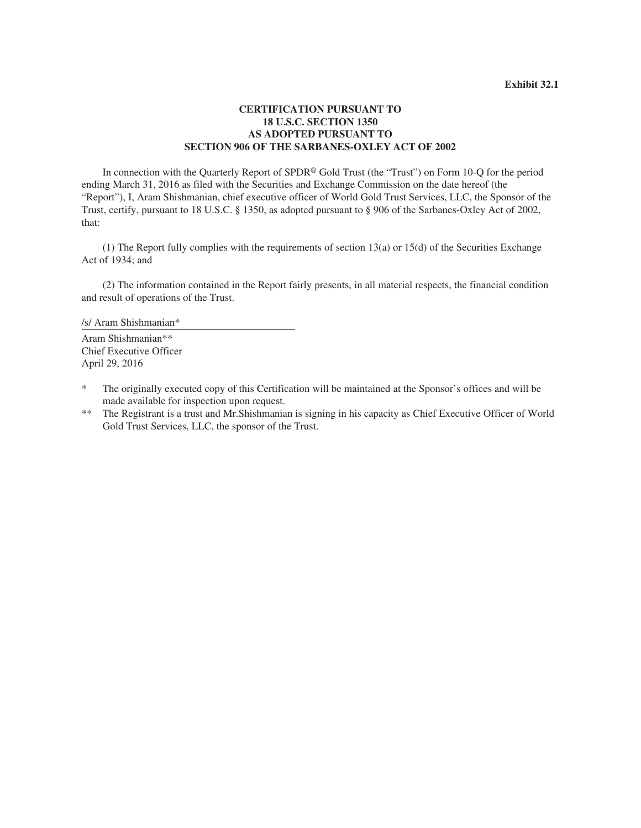# **CERTIFICATION PURSUANT TO 18 U.S.C. SECTION 1350 AS ADOPTED PURSUANT TO SECTION 906 OF THE SARBANES-OXLEY ACT OF 2002**

In connection with the Quarterly Report of SPDR® Gold Trust (the "Trust") on Form 10-Q for the period ending March 31, 2016 as filed with the Securities and Exchange Commission on the date hereof (the "Report"), I, Aram Shishmanian, chief executive officer of World Gold Trust Services, LLC, the Sponsor of the Trust, certify, pursuant to 18 U.S.C. § 1350, as adopted pursuant to § 906 of the Sarbanes-Oxley Act of 2002, that:

(1) The Report fully complies with the requirements of section 13(a) or 15(d) of the Securities Exchange Act of 1934; and

(2) The information contained in the Report fairly presents, in all material respects, the financial condition and result of operations of the Trust.

/s/ Aram Shishmanian\*

Aram Shishmanian\*\* Chief Executive Officer April 29, 2016

- \* The originally executed copy of this Certification will be maintained at the Sponsor's offices and will be made available for inspection upon request.
- \*\* The Registrant is a trust and Mr.Shishmanian is signing in his capacity as Chief Executive Officer of World Gold Trust Services, LLC, the sponsor of the Trust.